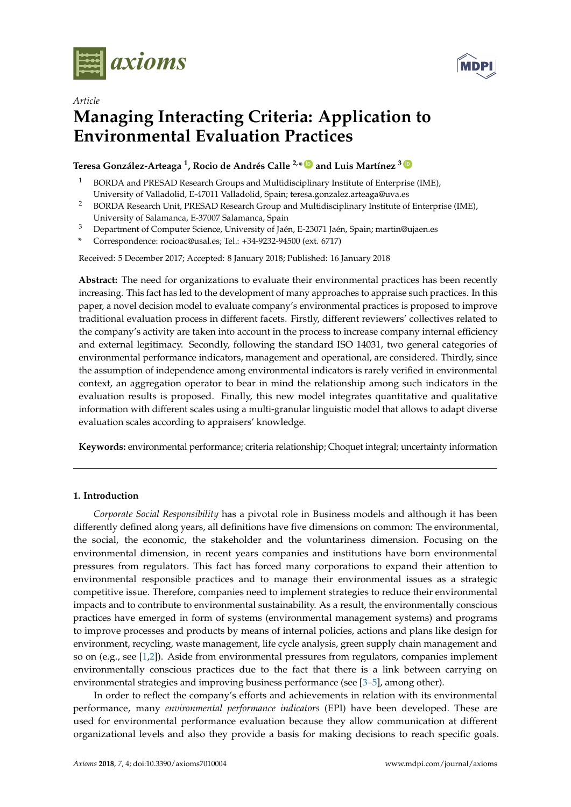

*Article*



# **Managing Interacting Criteria: Application to Environmental Evaluation Practices**

# **Teresa González-Arteaga <sup>1</sup> , Rocio de Andrés Calle 2,\* [ID](https://orcid.org/0000-0002-8387-1164) and Luis Martínez <sup>3</sup> [ID](https://orcid.org/0000-0003-4245-8813)**

- <sup>1</sup> BORDA and PRESAD Research Groups and Multidisciplinary Institute of Enterprise (IME), University of Valladolid, E-47011 Valladolid, Spain; teresa.gonzalez.arteaga@uva.es
- <sup>2</sup> BORDA Research Unit, PRESAD Research Group and Multidisciplinary Institute of Enterprise (IME), University of Salamanca, E-37007 Salamanca, Spain
- <sup>3</sup> Department of Computer Science, University of Jaén, E-23071 Jaén, Spain; martin@ujaen.es
- **\*** Correspondence: rocioac@usal.es; Tel.: +34-9232-94500 (ext. 6717)

Received: 5 December 2017; Accepted: 8 January 2018; Published: 16 January 2018

**Abstract:** The need for organizations to evaluate their environmental practices has been recently increasing. This fact has led to the development of many approaches to appraise such practices. In this paper, a novel decision model to evaluate company's environmental practices is proposed to improve traditional evaluation process in different facets. Firstly, different reviewers' collectives related to the company's activity are taken into account in the process to increase company internal efficiency and external legitimacy. Secondly, following the standard ISO 14031, two general categories of environmental performance indicators, management and operational, are considered. Thirdly, since the assumption of independence among environmental indicators is rarely verified in environmental context, an aggregation operator to bear in mind the relationship among such indicators in the evaluation results is proposed. Finally, this new model integrates quantitative and qualitative information with different scales using a multi-granular linguistic model that allows to adapt diverse evaluation scales according to appraisers' knowledge.

**Keywords:** environmental performance; criteria relationship; Choquet integral; uncertainty information

# **1. Introduction**

*Corporate Social Responsibility* has a pivotal role in Business models and although it has been differently defined along years, all definitions have five dimensions on common: The environmental, the social, the economic, the stakeholder and the voluntariness dimension. Focusing on the environmental dimension, in recent years companies and institutions have born environmental pressures from regulators. This fact has forced many corporations to expand their attention to environmental responsible practices and to manage their environmental issues as a strategic competitive issue. Therefore, companies need to implement strategies to reduce their environmental impacts and to contribute to environmental sustainability. As a result, the environmentally conscious practices have emerged in form of systems (environmental management systems) and programs to improve processes and products by means of internal policies, actions and plans like design for environment, recycling, waste management, life cycle analysis, green supply chain management and so on (e.g., see [\[1,](#page-21-0)[2\]](#page-21-1)). Aside from environmental pressures from regulators, companies implement environmentally conscious practices due to the fact that there is a link between carrying on environmental strategies and improving business performance (see [\[3](#page-21-2)[–5\]](#page-21-3), among other).

In order to reflect the company's efforts and achievements in relation with its environmental performance, many *environmental performance indicators* (EPI) have been developed. These are used for environmental performance evaluation because they allow communication at different organizational levels and also they provide a basis for making decisions to reach specific goals.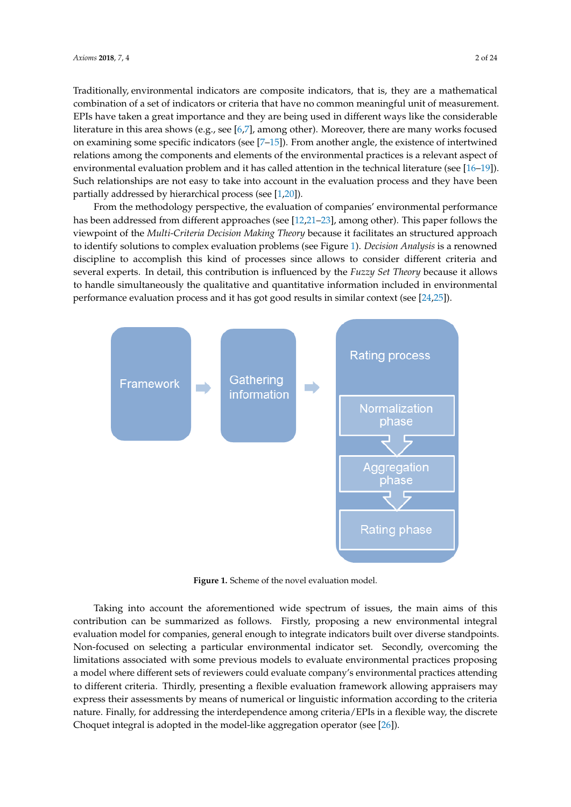Traditionally, environmental indicators are composite indicators, that is, they are a mathematical combination of a set of indicators or criteria that have no common meaningful unit of measurement. EPIs have taken a great importance and they are being used in different ways like the considerable literature in this area shows (e.g., see [\[6](#page-21-4)[,7\]](#page-21-5), among other). Moreover, there are many works focused on examining some specific indicators (see [\[7](#page-21-5)[–15\]](#page-21-6)). From another angle, the existence of intertwined relations among the components and elements of the environmental practices is a relevant aspect of environmental evaluation problem and it has called attention in the technical literature (see [\[16](#page-21-7)[–19\]](#page-21-8)). Such relationships are not easy to take into account in the evaluation process and they have been partially addressed by hierarchical process (see [\[1](#page-21-0)[,20\]](#page-21-9)).

From the methodology perspective, the evaluation of companies' environmental performance has been addressed from different approaches (see [\[12](#page-21-10)[,21–](#page-21-11)[23\]](#page-22-0), among other). This paper follows the viewpoint of the *Multi-Criteria Decision Making Theory* because it facilitates an structured approach to identify solutions to complex evaluation problems (see Figure [1\)](#page-1-0). *Decision Analysis* is a renowned discipline to accomplish this kind of processes since allows to consider different criteria and several experts. In detail, this contribution is influenced by the *Fuzzy Set Theory* because it allows to handle simultaneously the qualitative and quantitative information included in environmental performance evaluation process and it has got good results in similar context (see [\[24](#page-22-1)[,25\]](#page-22-2)).

<span id="page-1-0"></span>

**Figure 1.** Scheme of the novel evaluation model.

Taking into account the aforementioned wide spectrum of issues, the main aims of this contribution can be summarized as follows. Firstly, proposing a new environmental integral evaluation model for companies, general enough to integrate indicators built over diverse standpoints. Non-focused on selecting a particular environmental indicator set. Secondly, overcoming the limitations associated with some previous models to evaluate environmental practices proposing a model where different sets of reviewers could evaluate company's environmental practices attending to different criteria. Thirdly, presenting a flexible evaluation framework allowing appraisers may express their assessments by means of numerical or linguistic information according to the criteria nature. Finally, for addressing the interdependence among criteria/EPIs in a flexible way, the discrete Choquet integral is adopted in the model-like aggregation operator (see [\[26\]](#page-22-3)).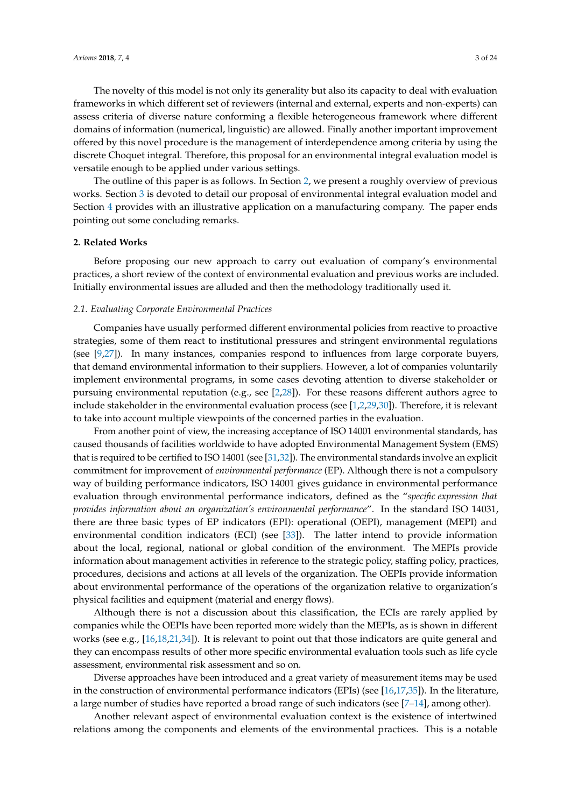The novelty of this model is not only its generality but also its capacity to deal with evaluation frameworks in which different set of reviewers (internal and external, experts and non-experts) can assess criteria of diverse nature conforming a flexible heterogeneous framework where different domains of information (numerical, linguistic) are allowed. Finally another important improvement offered by this novel procedure is the management of interdependence among criteria by using the discrete Choquet integral. Therefore, this proposal for an environmental integral evaluation model is versatile enough to be applied under various settings.

The outline of this paper is as follows. In Section [2,](#page-2-0) we present a roughly overview of previous works. Section [3](#page-3-0) is devoted to detail our proposal of environmental integral evaluation model and Section [4](#page-10-0) provides with an illustrative application on a manufacturing company. The paper ends pointing out some concluding remarks.

## <span id="page-2-0"></span>**2. Related Works**

Before proposing our new approach to carry out evaluation of company's environmental practices, a short review of the context of environmental evaluation and previous works are included. Initially environmental issues are alluded and then the methodology traditionally used it.

#### *2.1. Evaluating Corporate Environmental Practices*

Companies have usually performed different environmental policies from reactive to proactive strategies, some of them react to institutional pressures and stringent environmental regulations (see [\[9](#page-21-12)[,27\]](#page-22-4)). In many instances, companies respond to influences from large corporate buyers, that demand environmental information to their suppliers. However, a lot of companies voluntarily implement environmental programs, in some cases devoting attention to diverse stakeholder or pursuing environmental reputation (e.g., see [\[2](#page-21-1)[,28\]](#page-22-5)). For these reasons different authors agree to include stakeholder in the environmental evaluation process (see [\[1,](#page-21-0)[2,](#page-21-1)[29,](#page-22-6)[30\]](#page-22-7)). Therefore, it is relevant to take into account multiple viewpoints of the concerned parties in the evaluation.

From another point of view, the increasing acceptance of ISO 14001 environmental standards, has caused thousands of facilities worldwide to have adopted Environmental Management System (EMS) that is required to be certified to ISO 14001 (see [\[31,](#page-22-8)[32\]](#page-22-9)). The environmental standards involve an explicit commitment for improvement of *environmental performance* (EP). Although there is not a compulsory way of building performance indicators, ISO 14001 gives guidance in environmental performance evaluation through environmental performance indicators, defined as the "*specific expression that provides information about an organization's environmental performance*". In the standard ISO 14031, there are three basic types of EP indicators (EPI): operational (OEPI), management (MEPI) and environmental condition indicators (ECI) (see [\[33\]](#page-22-10)). The latter intend to provide information about the local, regional, national or global condition of the environment. The MEPIs provide information about management activities in reference to the strategic policy, staffing policy, practices, procedures, decisions and actions at all levels of the organization. The OEPIs provide information about environmental performance of the operations of the organization relative to organization's physical facilities and equipment (material and energy flows).

Although there is not a discussion about this classification, the ECIs are rarely applied by companies while the OEPIs have been reported more widely than the MEPIs, as is shown in different works (see e.g., [\[16,](#page-21-7)[18,](#page-21-13)[21,](#page-21-11)[34\]](#page-22-11)). It is relevant to point out that those indicators are quite general and they can encompass results of other more specific environmental evaluation tools such as life cycle assessment, environmental risk assessment and so on.

Diverse approaches have been introduced and a great variety of measurement items may be used in the construction of environmental performance indicators (EPIs) (see [\[16,](#page-21-7)[17,](#page-21-14)[35\]](#page-22-12)). In the literature, a large number of studies have reported a broad range of such indicators (see [\[7–](#page-21-5)[14\]](#page-21-15), among other).

Another relevant aspect of environmental evaluation context is the existence of intertwined relations among the components and elements of the environmental practices. This is a notable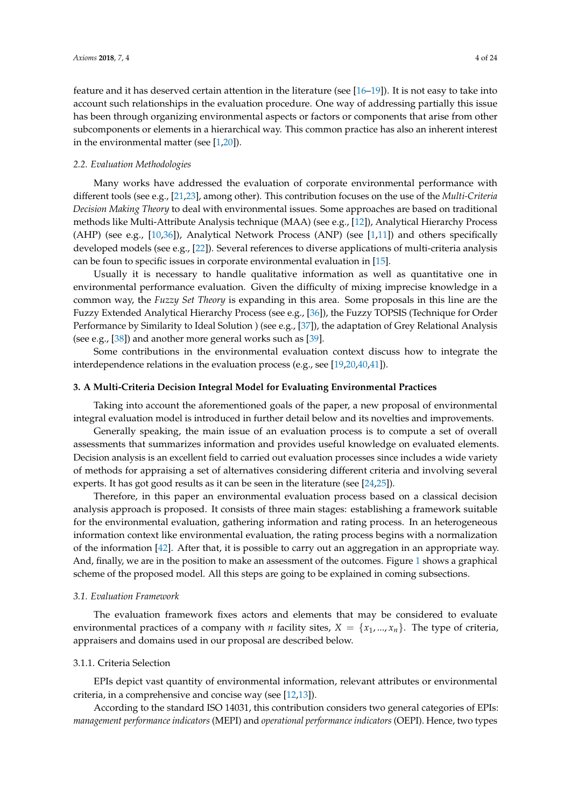feature and it has deserved certain attention in the literature (see [\[16–](#page-21-7)[19\]](#page-21-8)). It is not easy to take into account such relationships in the evaluation procedure. One way of addressing partially this issue has been through organizing environmental aspects or factors or components that arise from other subcomponents or elements in a hierarchical way. This common practice has also an inherent interest in the environmental matter (see  $[1,20]$  $[1,20]$ ).

## *2.2. Evaluation Methodologies*

Many works have addressed the evaluation of corporate environmental performance with different tools (see e.g., [\[21,](#page-21-11)[23\]](#page-22-0), among other). This contribution focuses on the use of the *Multi-Criteria Decision Making Theory* to deal with environmental issues. Some approaches are based on traditional methods like Multi-Attribute Analysis technique (MAA) (see e.g., [\[12\]](#page-21-10)), Analytical Hierarchy Process (AHP) (see e.g., [\[10](#page-21-16)[,36\]](#page-22-13)), Analytical Network Process (ANP) (see [\[1,](#page-21-0)[11\]](#page-21-17)) and others specifically developed models (see e.g., [\[22\]](#page-21-18)). Several references to diverse applications of multi-criteria analysis can be foun to specific issues in corporate environmental evaluation in [\[15\]](#page-21-6).

Usually it is necessary to handle qualitative information as well as quantitative one in environmental performance evaluation. Given the difficulty of mixing imprecise knowledge in a common way, the *Fuzzy Set Theory* is expanding in this area. Some proposals in this line are the Fuzzy Extended Analytical Hierarchy Process (see e.g., [\[36\]](#page-22-13)), the Fuzzy TOPSIS (Technique for Order Performance by Similarity to Ideal Solution ) (see e.g., [\[37\]](#page-22-14)), the adaptation of Grey Relational Analysis (see e.g., [\[38\]](#page-22-15)) and another more general works such as [\[39\]](#page-22-16).

Some contributions in the environmental evaluation context discuss how to integrate the interdependence relations in the evaluation process (e.g., see [\[19](#page-21-8)[,20](#page-21-9)[,40](#page-22-17)[,41\]](#page-22-18)).

### <span id="page-3-0"></span>**3. A Multi-Criteria Decision Integral Model for Evaluating Environmental Practices**

Taking into account the aforementioned goals of the paper, a new proposal of environmental integral evaluation model is introduced in further detail below and its novelties and improvements.

Generally speaking, the main issue of an evaluation process is to compute a set of overall assessments that summarizes information and provides useful knowledge on evaluated elements. Decision analysis is an excellent field to carried out evaluation processes since includes a wide variety of methods for appraising a set of alternatives considering different criteria and involving several experts. It has got good results as it can be seen in the literature (see [\[24](#page-22-1)[,25\]](#page-22-2)).

Therefore, in this paper an environmental evaluation process based on a classical decision analysis approach is proposed. It consists of three main stages: establishing a framework suitable for the environmental evaluation, gathering information and rating process. In an heterogeneous information context like environmental evaluation, the rating process begins with a normalization of the information [\[42\]](#page-22-19). After that, it is possible to carry out an aggregation in an appropriate way. And, finally, we are in the position to make an assessment of the outcomes. Figure [1](#page-1-0) shows a graphical scheme of the proposed model. All this steps are going to be explained in coming subsections.

#### *3.1. Evaluation Framework*

The evaluation framework fixes actors and elements that may be considered to evaluate environmental practices of a company with *n* facility sites,  $X = \{x_1, ..., x_n\}$ . The type of criteria, appraisers and domains used in our proposal are described below.

## <span id="page-3-1"></span>3.1.1. Criteria Selection

EPIs depict vast quantity of environmental information, relevant attributes or environmental criteria, in a comprehensive and concise way (see [\[12](#page-21-10)[,13\]](#page-21-19)).

According to the standard ISO 14031, this contribution considers two general categories of EPIs: *management performance indicators* (MEPI) and *operational performance indicators* (OEPI). Hence, two types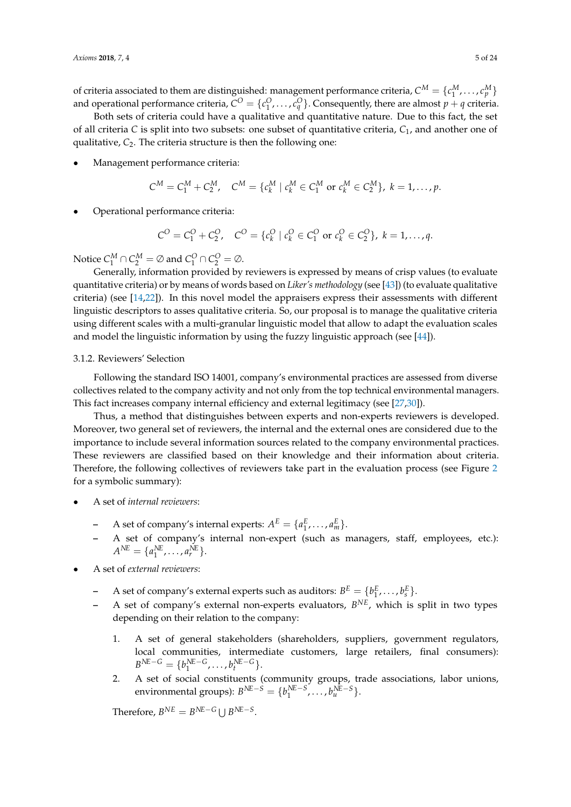of criteria associated to them are distinguished: management performance criteria,  $C^M = \{c_1^M, \ldots, c_p^M\}$ and operational performance criteria,  $C^O = \{c_1^O, \ldots, c_q^O\}$ . Consequently, there are almost  $p + q$  criteria.

Both sets of criteria could have a qualitative and quantitative nature. Due to this fact, the set of all criteria *C* is split into two subsets: one subset of quantitative criteria, *C*1, and another one of qualitative,  $C_2$ . The criteria structure is then the following one:

• Management performance criteria:

$$
C^M = C_1^M + C_2^M
$$
,  $C^M = \{c_k^M | c_k^M \in C_1^M \text{ or } c_k^M \in C_2^M\}$ ,  $k = 1, ..., p$ .

• Operational performance criteria:

$$
C^{O} = C_{1}^{O} + C_{2}^{O}, \quad C^{O} = \{c_{k}^{O} \mid c_{k}^{O} \in C_{1}^{O} \text{ or } c_{k}^{O} \in C_{2}^{O}\}, k = 1,...,q.
$$

Notice  $C_1^M \cap C_2^M = \emptyset$  and  $C_1^O \cap C_2^O = \emptyset$ .

Generally, information provided by reviewers is expressed by means of crisp values (to evaluate quantitative criteria) or by means of words based on *Liker's methodology* (see [\[43\]](#page-22-20)) (to evaluate qualitative criteria) (see [\[14,](#page-21-15)[22\]](#page-21-18)). In this novel model the appraisers express their assessments with different linguistic descriptors to asses qualitative criteria. So, our proposal is to manage the qualitative criteria using different scales with a multi-granular linguistic model that allow to adapt the evaluation scales and model the linguistic information by using the fuzzy linguistic approach (see [\[44\]](#page-22-21)).

#### 3.1.2. Reviewers' Selection

Following the standard ISO 14001, company's environmental practices are assessed from diverse collectives related to the company activity and not only from the top technical environmental managers. This fact increases company internal efficiency and external legitimacy (see [\[27](#page-22-4)[,30\]](#page-22-7)).

Thus, a method that distinguishes between experts and non-experts reviewers is developed. Moreover, two general set of reviewers, the internal and the external ones are considered due to the importance to include several information sources related to the company environmental practices. These reviewers are classified based on their knowledge and their information about criteria. Therefore, the following collectives of reviewers take part in the evaluation process (see Figure [2](#page-5-0) for a symbolic summary):

- A set of *internal reviewers*:
	- **-** A set of company's internal experts:  $A^E = \{a_1^E, \ldots, a_m^E\}.$
	- **–** A set of company's internal non-expert (such as managers, staff, employees, etc.):  $A^{NE} = \{a_1^{NE}, \ldots, a_r^{NE}\}.$
- A set of *external reviewers*:
	- **-** A set of company's external experts such as auditors:  $B^E = \{b_1^E, \ldots, b_s^E\}.$
	- **–** A set of company's external non-experts evaluators, *B NE*, which is split in two types depending on their relation to the company:
		- 1. A set of general stakeholders (shareholders, suppliers, government regulators, local communities, intermediate customers, large retailers, final consumers):  $B^{NE-G} = \{b_1^{NE-G}, \ldots, b_t^{NE-G}\}.$
		- 2. A set of social constituents (community groups, trade associations, labor unions, environmental groups):  $B^{NE-S} = \{b_1^{NE-S}, \ldots, b_u^{NE-S}\}.$

Therefore,  $B^{NE} = B^{NE-G} \cup B^{NE-S}$ .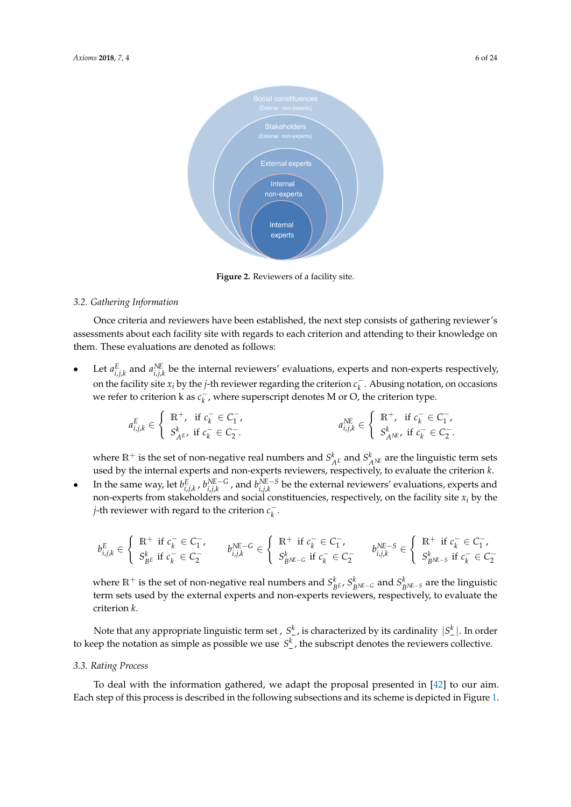<span id="page-5-0"></span>

**Figure 2.** Reviewers of a facility site.

# *3.2. Gathering Information*

Once criteria and reviewers have been established, the next step consists of gathering reviewer's assessments about each facility site with regards to each criterion and attending to their knowledge on them. These evaluations are denoted as follows:

• Let  $a_{i,j,k}^E$  and  $a_{i,j,k}^{NE}$  be the internal reviewers' evaluations, experts and non-experts respectively, on the facility site  $x_i$  by the *j*-th reviewer regarding the criterion  $c_k^ \bar{k}$ . Abusing notation, on occasions we refer to criterion k as  $c_k^$ *k* , where superscript denotes M or O, the criterion type.

$$
a_{i,j,k}^{E} \in \left\{ \begin{array}{l} \mathbb{R}^{+}, \text{ if } c_{k}^{-} \in C_{1}^{-}, \\ S_{A^{E}}^{k}, \text{ if } c_{k}^{-} \in C_{2}^{-}. \end{array} \right. \qquad a_{i,j,k}^{NE} \in \left\{ \begin{array}{l} \mathbb{R}^{+}, \text{ if } c_{k}^{-} \in C_{1}^{-}, \\ S_{A^{NE}}^{k}, \text{ if } c_{k}^{-} \in C_{2}^{-}. \end{array} \right.
$$

where  $\mathbb{R}^+$  is the set of non-negative real numbers and  $S^k_{A^E}$  and  $S^k_{A^N E}$  are the linguistic term sets used by the internal experts and non-experts reviewers, respectively, to evaluate the criterion *k*.

• In the same way, let  $b_{i,j,k}^E$ ,  $b_{i,j,k}^{NE-G}$ , and  $b_{i,j,k}^{NE-S}$  be the external reviewers' evaluations, experts and non-experts from stakeholders and social constituencies, respectively, on the facility site *x<sup>i</sup>* by the *j*-th reviewer with regard to the criterion  $c_k^$ *k* .

$$
b_{i,j,k}^{E} \in \left\{ \begin{array}{ll} \mathbb{R}^{+} \text{ if } c_{k}^{-} \in C_{1}^{-}, \\ S_{B^{E}}^{k} \text{ if } c_{k}^{-} \in C_{2}^{-} \end{array} \right. \qquad b_{i,j,k}^{NE-G} \in \left\{ \begin{array}{ll} \mathbb{R}^{+} \text{ if } c_{k}^{-} \in C_{1}^{-}, \\ S_{B^{NE-G}}^{k} \text{ if } c_{k}^{-} \in C_{2}^{-} \end{array} \right. \qquad b_{i,j,k}^{NE-S} \in \left\{ \begin{array}{ll} \mathbb{R}^{+} \text{ if } c_{k}^{-} \in C_{1}^{-}, \\ S_{B^{NE-S}}^{k} \text{ if } c_{k}^{-} \in C_{2}^{-} \end{array} \right.
$$

where  $\mathbb{R}^+$  is the set of non-negative real numbers and  $S^k_{BE}$ ,  $S^k_{B^{\text{NE}-G}}$  and  $S^k_{B^{\text{NE}-S}}$  are the linguistic term sets used by the external experts and non-experts reviewers, respectively, to evaluate the criterion *k*.

Note that any appropriate linguistic term set ,  $S^k_-$  , is characterized by its cardinality  $\, |S^k_-|.$  In order to keep the notation as simple as possible we use  $S^k_{-}$ , the subscript denotes the reviewers collective.

#### *3.3. Rating Process*

To deal with the information gathered, we adapt the proposal presented in [\[42\]](#page-22-19) to our aim. Each step of this process is described in the following subsections and its scheme is depicted in Figure [1.](#page-1-0)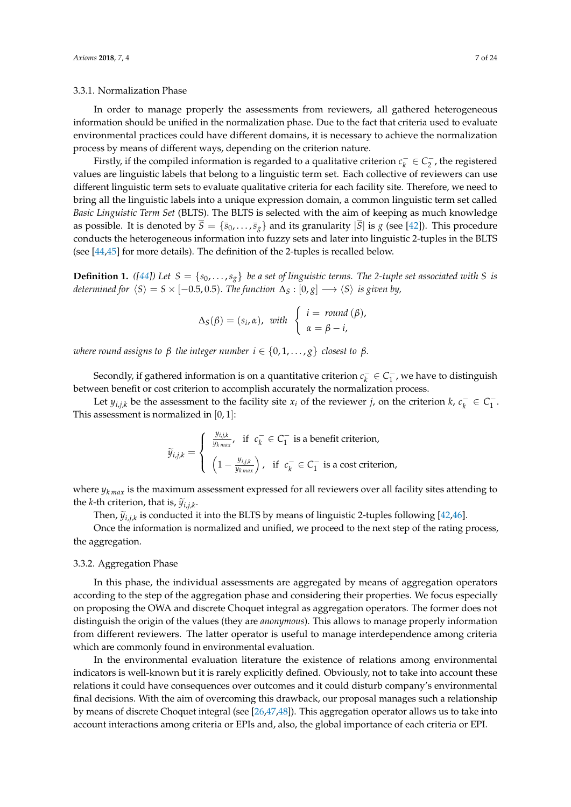### <span id="page-6-0"></span>3.3.1. Normalization Phase

In order to manage properly the assessments from reviewers, all gathered heterogeneous information should be unified in the normalization phase. Due to the fact that criteria used to evaluate environmental practices could have different domains, it is necessary to achieve the normalization process by means of different ways, depending on the criterion nature.

Firstly, if the compiled information is regarded to a qualitative criterion  $c_k^ \bar{k} \in C_2^-$ , the registered values are linguistic labels that belong to a linguistic term set. Each collective of reviewers can use different linguistic term sets to evaluate qualitative criteria for each facility site. Therefore, we need to bring all the linguistic labels into a unique expression domain, a common linguistic term set called *Basic Linguistic Term Set* (BLTS). The BLTS is selected with the aim of keeping as much knowledge as possible. It is denoted by  $\overline{S} = \{\overline{s}_0, \ldots, \overline{s}_g\}$  and its granularity  $|\overline{S}|$  is *g* (see [\[42\]](#page-22-19)). This procedure conducts the heterogeneous information into fuzzy sets and later into linguistic 2-tuples in the BLTS (see [\[44,](#page-22-21)[45\]](#page-22-22) for more details). The definition of the 2-tuples is recalled below.

**Definition 1.** ([\[44\]](#page-22-21)) Let  $S = \{s_0, \ldots, s_g\}$  be a set of linguistic terms. The 2-tuple set associated with *S* is *determined for*  $\langle S \rangle = S \times [-0.5, 0.5)$ *. The function*  $\Delta_S : [0, g] \longrightarrow \langle S \rangle$  *is given by,* 

$$
\Delta_S(\beta) = (s_i, \alpha), \text{ with } \begin{cases} i = \text{ round } (\beta), \\ \alpha = \beta - i, \end{cases}
$$

*where round assigns to*  $\beta$  *the integer number*  $i \in \{0, 1, \ldots, g\}$  *closest to*  $\beta$ *.* 

Secondly, if gathered information is on a quantitative criterion  $c_k^ \bar{k}$ ∈  $C_1^ 1<sub>1</sub>$ , we have to distinguish between benefit or cost criterion to accomplish accurately the normalization process.

Let  $y_{i,j,k}$  be the assessment to the facility site  $x_i$  of the reviewer *j*, on the criterion *k*,  $c_k^ \bar{k} \in C_1^ \frac{1}{1}$ . This assessment is normalized in [0, 1]:

$$
\widetilde{y}_{i,j,k} = \begin{cases}\n\frac{y_{i,j,k}}{y_{k\max}}, & \text{if } c_k^- \in C_1^- \text{ is a benefit criterion,} \\
\left(1 - \frac{y_{i,j,k}}{y_{k\max}}\right), & \text{if } c_k^- \in C_1^- \text{ is a cost criterion,}\n\end{cases}
$$

where  $y_{kmax}$  is the maximum assessment expressed for all reviewers over all facility sites attending to the *k*-th criterion, that is,  $\widetilde{y}_{i,j,k}$ .<br>Then  $\widetilde{y}_{i,j,k}$ 

Then,  $\tilde{y}_{i,j,k}$  is conducted it into the BLTS by means of linguistic 2-tuples following [\[42,](#page-22-19)[46\]](#page-22-23).

Once the information is normalized and unified, we proceed to the next step of the rating process, the aggregation.

#### <span id="page-6-1"></span>3.3.2. Aggregation Phase

In this phase, the individual assessments are aggregated by means of aggregation operators according to the step of the aggregation phase and considering their properties. We focus especially on proposing the OWA and discrete Choquet integral as aggregation operators. The former does not distinguish the origin of the values (they are *anonymous*). This allows to manage properly information from different reviewers. The latter operator is useful to manage interdependence among criteria which are commonly found in environmental evaluation.

In the environmental evaluation literature the existence of relations among environmental indicators is well-known but it is rarely explicitly defined. Obviously, not to take into account these relations it could have consequences over outcomes and it could disturb company's environmental final decisions. With the aim of overcoming this drawback, our proposal manages such a relationship by means of discrete Choquet integral (see [\[26](#page-22-3)[,47](#page-22-24)[,48\]](#page-22-25)). This aggregation operator allows us to take into account interactions among criteria or EPIs and, also, the global importance of each criteria or EPI.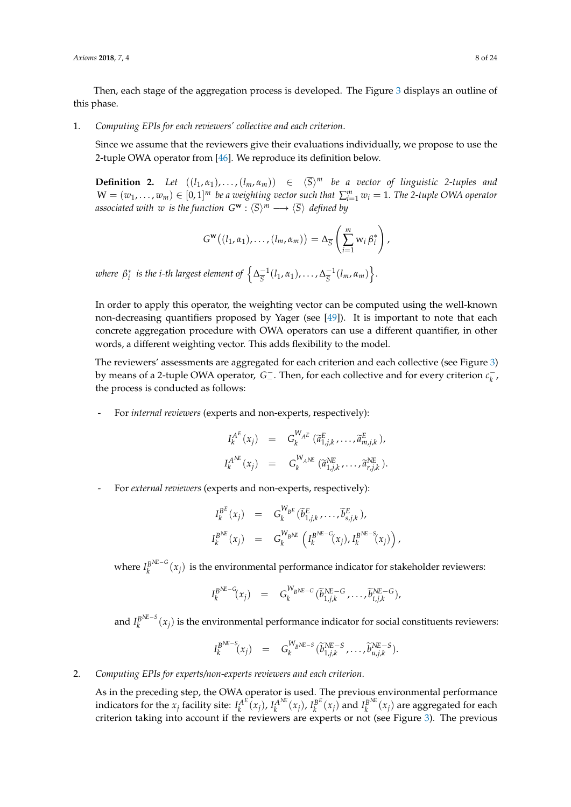Then, each stage of the aggregation process is developed. The Figure [3](#page-10-1) displays an outline of this phase.

1. *Computing EPIs for each reviewers' collective and each criterion*.

Since we assume that the reviewers give their evaluations individually, we propose to use the 2-tuple OWA operator from [\[46\]](#page-22-23). We reproduce its definition below.

**Definition 2.** Let  $((l_1, \alpha_1), \ldots, (l_m, \alpha_m)) \in \langle \overline{S} \rangle^m$  be a vector of linguistic 2-tuples and  $W = (w_1, \ldots, w_m) \in [0, 1]^m$  *be a weighting vector such that*  $\sum_{i=1}^m w_i = 1$ . The 2-tuple OWA operator *associated with*  $w$  *is the function*  $G^{\bf w}:\langle \overline{S}\rangle^m\longrightarrow \langle \overline{S}\rangle$  *defined by* 

$$
G^{\mathbf{w}}((l_1,\alpha_1),\ldots,(l_m,\alpha_m))=\Delta_{\overline{S}}\left(\sum_{i=1}^m w_i\,\beta_i^*\right),
$$

where  $\,\beta_i^*\,$  is the i-th largest element of  $\,\left\{\Delta_{\overline{S}}^{-1}\right\}\,$  $\frac{-1}{5}(l_1, \alpha_1), \ldots, \Delta_{\overline{S}}^{-1}$  $\frac{-1}{S}(l_m, \alpha_m)$ .

In order to apply this operator, the weighting vector can be computed using the well-known non-decreasing quantifiers proposed by Yager (see [\[49\]](#page-22-26)). It is important to note that each concrete aggregation procedure with OWA operators can use a different quantifier, in other words, a different weighting vector. This adds flexibility to the model.

The reviewers' assessments are aggregated for each criterion and each collective (see Figure [3\)](#page-10-1) by means of a 2-tuple OWA operator, G $^-$ . Then, for each collective and for every criterion  $c_k^$ *k* , the process is conducted as follows:

- For *internal reviewers* (experts and non-experts, respectively):

$$
I_k^{A^E}(x_j) = G_k^{W_{A^E}}(\widetilde{a}_{1,j,k}^E, \dots, \widetilde{a}_{m,j,k}^E),
$$
  

$$
I_k^{A^{NE}}(x_j) = G_k^{W_{A^{NE}}}(\widetilde{a}_{1,j,k}^{NE}, \dots, \widetilde{a}_{r,j,k}^{NE}).
$$

- For *external reviewers* (experts and non-experts, respectively):

$$
I_k^{B^E}(x_j) = G_k^{W_{B^E}}(\widetilde{b}_{1,j,k}^E, \ldots, \widetilde{b}_{s,j,k}^E),
$$
  

$$
I_k^{B^{NE}}(x_j) = G_k^{W_{B^{NE}}}\left(I_k^{B^{NE-G}}(x_j), I_k^{B^{NE-S}}(x_j)\right)
$$

,

where  $I_k^{B^{\textit{NE}-G}}$  $\frac{B^{(k-1)}}{k}(x_j)$  is the environmental performance indicator for stakeholder reviewers:

$$
I_k^{B^{NE-G}}(x_j) = G_k^{W_{B^{NE-G}}}(\widetilde{b}_{1,j,k}^{NE-G}, \ldots, \widetilde{b}_{t,j,k}^{NE-G}),
$$

and  $I_k^{B^{\text{NE}-S}}$  $k_k^{\beta^{(k-3)}}(x_j)$  is the environmental performance indicator for social constituents reviewers:

$$
I_k^{B^{NE-S}}(x_j) = G_k^{W_{B^{NE-S}}}(\widetilde{b}_{1,j,k}^{NE-S},\ldots,\widetilde{b}_{u,j,k}^{NE-S}).
$$

2. *Computing EPIs for experts/non-experts reviewers and each criterion*.

As in the preceding step, the OWA operator is used. The previous environmental performance indicators for the  $x_j$  facility site:  $I_k^{A^E}$  $\overline{R}^{A^E}(x_j)$ ,  $I_k^{A^NE}$  $I_k^{A^{\text{NE}}} (x_j)$ ,  $I_k^{B^{\text{E}}}$  $\binom{B^E}{k}(x_j)$  and  $I_k^{B^N E}$  $\int_k^{B^{1\text{UL}}}(x_j)$  are aggregated for each criterion taking into account if the reviewers are experts or not (see Figure [3\)](#page-10-1). The previous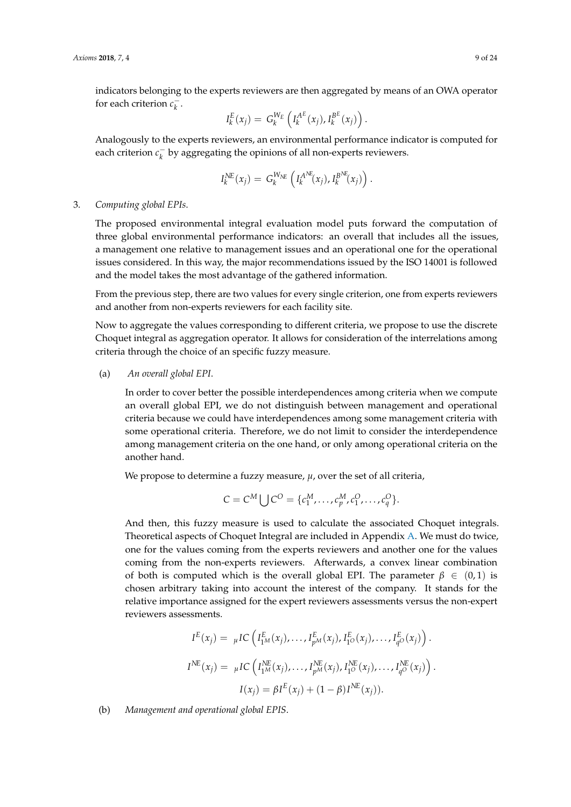indicators belonging to the experts reviewers are then aggregated by means of an OWA operator for each criterion  $c_k^$ *k* .

$$
I_k^E(x_j) = G_k^{W_E} \left( I_k^{A^E}(x_j), I_k^{B^E}(x_j) \right).
$$

Analogously to the experts reviewers, an environmental performance indicator is computed for each criterion  $c_k^ \overline{k}$  by aggregating the opinions of all non-experts reviewers.

$$
I_k^{NE}(x_j) = G_k^{W_{NE}}\left(I_k^{A^{NE}}(x_j), I_k^{B^{NE}}(x_j)\right).
$$

## 3. *Computing global EPIs*.

The proposed environmental integral evaluation model puts forward the computation of three global environmental performance indicators: an overall that includes all the issues, a management one relative to management issues and an operational one for the operational issues considered. In this way, the major recommendations issued by the ISO 14001 is followed and the model takes the most advantage of the gathered information.

From the previous step, there are two values for every single criterion, one from experts reviewers and another from non-experts reviewers for each facility site.

Now to aggregate the values corresponding to different criteria, we propose to use the discrete Choquet integral as aggregation operator. It allows for consideration of the interrelations among criteria through the choice of an specific fuzzy measure.

(a) *An overall global EPI*.

In order to cover better the possible interdependences among criteria when we compute an overall global EPI, we do not distinguish between management and operational criteria because we could have interdependences among some management criteria with some operational criteria. Therefore, we do not limit to consider the interdependence among management criteria on the one hand, or only among operational criteria on the another hand.

We propose to determine a fuzzy measure,  $\mu$ , over the set of all criteria,

$$
C = C^M \bigcup C^O = \{c_1^M, \dots, c_p^M, c_1^O, \dots, c_q^O\}.
$$

And then, this fuzzy measure is used to calculate the associated Choquet integrals. Theoretical aspects of Choquet Integral are included in Appendix [A.](#page-17-0) We must do twice, one for the values coming from the experts reviewers and another one for the values coming from the non-experts reviewers. Afterwards, a convex linear combination of both is computed which is the overall global EPI. The parameter  $\beta \in (0,1)$  is chosen arbitrary taking into account the interest of the company. It stands for the relative importance assigned for the expert reviewers assessments versus the non-expert reviewers assessments.

$$
I^{E}(x_{j}) = \mu IC\left(I_{1^{M}}^{E}(x_{j}), \ldots, I_{p^{M}}^{E}(x_{j}), I_{1^{O}}^{E}(x_{j}), \ldots, I_{q^{O}}^{E}(x_{j})\right).
$$
  
\n
$$
I^{NE}(x_{j}) = \mu IC\left(I_{1^{M}}^{NE}(x_{j}), \ldots, I_{p^{M}}^{NE}(x_{j}), I_{1^{O}}^{NE}(x_{j}), \ldots, I_{q^{O}}^{NE}(x_{j})\right).
$$
  
\n
$$
I(x_{j}) = \beta I^{E}(x_{j}) + (1 - \beta)I^{NE}(x_{j}).
$$

(b) *Management and operational global EPIS*.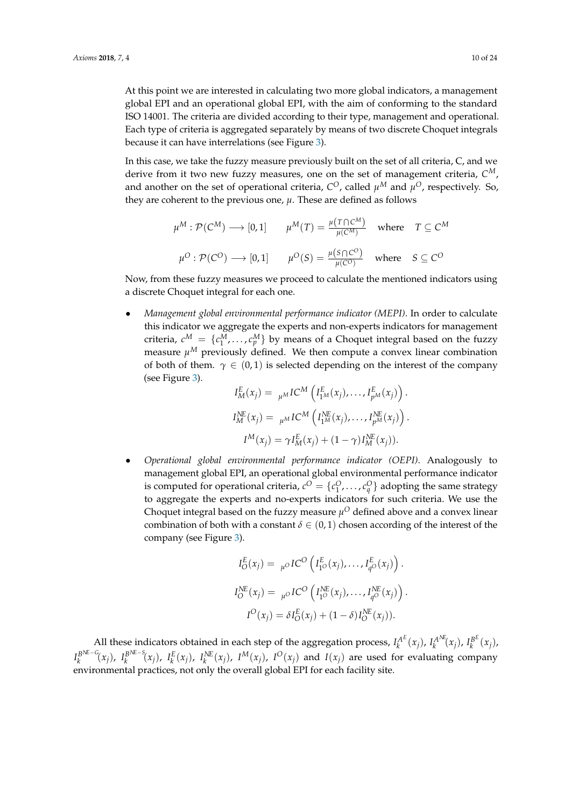At this point we are interested in calculating two more global indicators, a management global EPI and an operational global EPI, with the aim of conforming to the standard ISO 14001. The criteria are divided according to their type, management and operational. Each type of criteria is aggregated separately by means of two discrete Choquet integrals because it can have interrelations (see Figure [3\)](#page-10-1).

In this case, we take the fuzzy measure previously built on the set of all criteria, C, and we derive from it two new fuzzy measures, one on the set of management criteria, *C M*, and another on the set of operational criteria,  $C^O$ , called  $\mu^M$  and  $\mu^O$ , respectively. So, they are coherent to the previous one,  $\mu$ . These are defined as follows

$$
\mu^{M} : \mathcal{P}(C^{M}) \longrightarrow [0,1] \qquad \mu^{M}(T) = \frac{\mu(T \cap C^{M})}{\mu(C^{M})} \quad \text{where} \quad T \subseteq C^{M}
$$

$$
\mu^{O} : \mathcal{P}(C^{O}) \longrightarrow [0,1] \qquad \mu^{O}(S) = \frac{\mu(S \cap C^{O})}{\mu(C^{O})} \quad \text{where} \quad S \subseteq C^{O}
$$

Now, from these fuzzy measures we proceed to calculate the mentioned indicators using a discrete Choquet integral for each one.

• *Management global environmental performance indicator (MEPI)*. In order to calculate this indicator we aggregate the experts and non-experts indicators for management criteria,  $c^M = \{c^M_1, \ldots, c^M_p\}$  by means of a Choquet integral based on the fuzzy measure  $\mu^M$  previously defined. We then compute a convex linear combination of both of them.  $\gamma \in (0,1)$  is selected depending on the interest of the company (see Figure [3\)](#page-10-1).

$$
I_M^E(x_j) = \mu^M I C^M \left( I_{1^M}^E(x_j), \dots, I_{p^M}^E(x_j) \right).
$$
  
\n
$$
I_M^{NE}(x_j) = \mu^M I C^M \left( I_{1^M}^{NE}(x_j), \dots, I_{p^M}^{NE}(x_j) \right).
$$
  
\n
$$
I^M(x_j) = \gamma I_M^E(x_j) + (1 - \gamma) I_M^{NE}(x_j)).
$$

• *Operational global environmental performance indicator (OEPI)*. Analogously to management global EPI, an operational global environmental performance indicator is computed for operational criteria,  $c^O = \{c_1^O, \ldots, c_q^O\}$  adopting the same strategy to aggregate the experts and no-experts indicators for such criteria. We use the Choquet integral based on the fuzzy measure  $\mu^O$  defined above and a convex linear combination of both with a constant  $\delta \in (0,1)$  chosen according of the interest of the company (see Figure [3\)](#page-10-1).

$$
I_O^E(x_j) = \mu^O IC^O \left( I_{1^O}(x_j), \dots, I_{q^O}(x_j) \right).
$$
  
\n
$$
I_O^{NE}(x_j) = \mu^O IC^O \left( I_{1^O}(x_j), \dots, I_{q^O}(x_j) \right).
$$
  
\n
$$
I^O(x_j) = \delta I_O^E(x_j) + (1 - \delta) I_O^{NE}(x_j)).
$$

All these indicators obtained in each step of the aggregation process,  $I_k^{A^E}$  $\chi_k^{A^E}(x_j)$ ,  $I_k^{A^N E}$  $I_k^{A^{NE}}(x_j)$ ,  $I_k^{B^E}$  $_{k}^{B^{L}}(x_{j}),$  $I_k^{B^{\mathcal{N}\!E - \mathcal{G}}}$  $\int_k^{B^{\text{NE}-G}} (x_j)$ ,  $I_k^{B^{\text{NE}-S}}$  $k_k^{B^{NL-5}}(x_j)$ ,  $I_k^{E}(x_j)$ ,  $I_k^{NE}(x_j)$ ,  $I^M(x_j)$ ,  $I^O(x_j)$  and  $I(x_j)$  are used for evaluating company environmental practices, not only the overall global EPI for each facility site.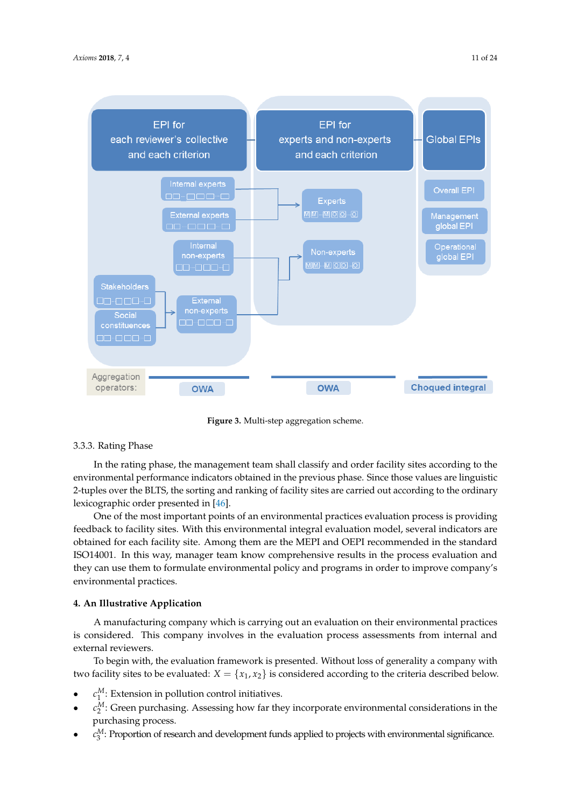<span id="page-10-1"></span>

**Figure 3.** Multi-step aggregation scheme.

# 3.3.3. Rating Phase

In the rating phase, the management team shall classify and order facility sites according to the environmental performance indicators obtained in the previous phase. Since those values are linguistic 2-tuples over the BLTS, the sorting and ranking of facility sites are carried out according to the ordinary lexicographic order presented in [\[46\]](#page-22-23).

One of the most important points of an environmental practices evaluation process is providing feedback to facility sites. With this environmental integral evaluation model, several indicators are obtained for each facility site. Among them are the MEPI and OEPI recommended in the standard ISO14001. In this way, manager team know comprehensive results in the process evaluation and they can use them to formulate environmental policy and programs in order to improve company's environmental practices.

# <span id="page-10-0"></span>**4. An Illustrative Application**

A manufacturing company which is carrying out an evaluation on their environmental practices is considered. This company involves in the evaluation process assessments from internal and external reviewers.

To begin with, the evaluation framework is presented. Without loss of generality a company with two facility sites to be evaluated:  $X = \{x_1, x_2\}$  is considered according to the criteria described below.

- $c_1^M$ : Extension in pollution control initiatives.
- $\bullet$   $c_2^M$ : Green purchasing. Assessing how far they incorporate environmental considerations in the purchasing process.
- $\bullet$   $c_3^M$ : Proportion of research and development funds applied to projects with environmental significance.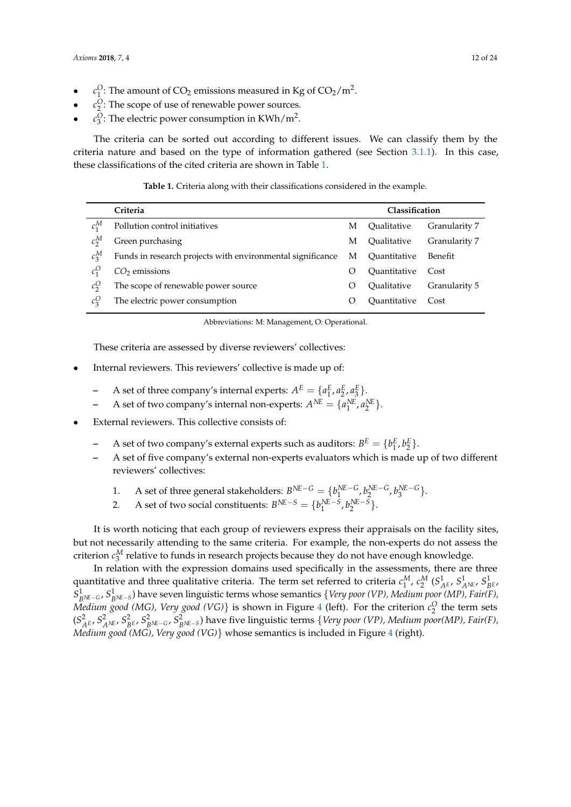- $c_1^O$ : The amount of CO<sub>2</sub> emissions measured in Kg of CO<sub>2</sub>/m<sup>2</sup>.
- $c_2^O$ : The scope of use of renewable power sources.
- $c_3^O$ : The electric power consumption in KWh/m<sup>2</sup>.

The criteria can be sorted out according to different issues. We can classify them by the criteria nature and based on the type of information gathered (see Section [3.1.1\)](#page-3-1). In this case, these classifications of the cited criteria are shown in Table [1.](#page-11-0)

**Table 1.** Criteria along with their classifications considered in the example.

<span id="page-11-0"></span>

|         | Criteria                                                   |           | <b>Classification</b>      |               |
|---------|------------------------------------------------------------|-----------|----------------------------|---------------|
| $c_1^M$ | Pollution control initiatives                              | M         | Oualitative                | Granularity 7 |
| $c_2^M$ | Green purchasing                                           | М         | Oualitative                | Granularity 7 |
| $c_2^M$ | Funds in research projects with environmental significance | М         | Ouantitative               | Benefit       |
|         | $CO2$ emissions                                            | $\lambda$ | <i><b>Ouantitative</b></i> | Cost          |
| $c_2^O$ | The scope of renewable power source                        | $\circ$   | Oualitative                | Granularity 5 |
| $c_2^O$ | The electric power consumption                             |           | Ouantitative               | Cost          |

Abbreviations: M: Management, O: Operational.

These criteria are assessed by diverse reviewers' collectives:

- Internal reviewers. This reviewers' collective is made up of:
	- **-** A set of three company's internal experts:  $A^E = \{a_1^E, a_2^E, a_3^E\}.$ 1
	- **–** A set of two company's internal non-experts:  $A^{NE} = \{a_1^{NE}, a_2^{NE}\}.$
- External reviewers. This collective consists of:
	- **-** A set of two company's external experts such as auditors:  $B^E = \{b_1^E, b_2^E\}.$
	- **–** A set of five company's external non-experts evaluators which is made up of two different reviewers' collectives:
		- 1. A set of three general stakeholders:  $B^{NE-G} = \{b_1^{NE-G}, b_2^{NE-G}, b_3^{NE-G}\}$ .
		- 2. A set of two social constituents:  $B^{NE-S} = \{b_1^{NE-S}, b_2^{NE-S}\}.$

It is worth noticing that each group of reviewers express their appraisals on the facility sites, but not necessarily attending to the same criteria. For example, the non-experts do not assess the criterion  $c_3^M$  relative to funds in research projects because they do not have enough knowledge.

In relation with the expression domains used specifically in the assessments, there are three quantitative and three qualitative criteria. The term set referred to criteria  $c_1^M$ ,  $c_2^M$   $(S_{A^E}^1, S_{A^N E}^1, S_{B^E}^1, S_{B^E}^1)$ *S*<sup>1</sup><sub>*BNE−G*</sub>, *S*<sup>1</sup><sub>*BNE−S*</sub>) have seven linguistic terms whose semantics {*Very poor (VP), Medium poor (MP), Fair(F)*, *Medium good (MG), Very good (VG)*} is shown in Figure [4](#page-12-0) (left). For the criterion  $c_2^O$  the term sets  $(S^2_{A^E},S^2_{A^{NE}},S^2_{B^E},S^2_{B^{NE-G}},S^2_{B^{NE-S}})$  have five linguistic terms  $\{Very\ poor\ (VP), Medium\ poor (MP), Fair(F),$ *Medium good (MG), Very good (VG)*} whose semantics is included in Figure [4](#page-12-0) (right).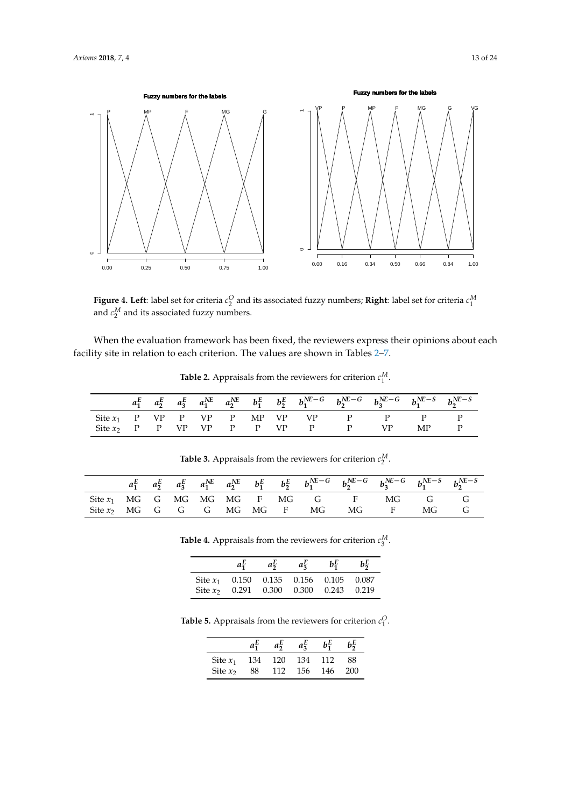<span id="page-12-0"></span>

**Figure 4. Left**: label set for criteria  $c_2^O$  and its associated fuzzy numbers; **Right**: label set for criteria  $c_1^M$ and  $c_2^M$  and its associated fuzzy numbers.

<span id="page-12-1"></span>When the evaluation framework has been fixed, the reviewers express their opinions about each facility site in relation to each criterion. The values are shown in Tables [2](#page-12-1)[–7.](#page-13-0)

|  |  |  |  |                                   | $a_1^E$ $a_2^E$ $a_3^E$ $a_1^N$ $a_2^N$ $b_1^E$ $b_2^E$ $b_1^N$ $b_2^N$ $b_1^N$ $b_2^N$ $c_3^N$ $b_3^N$ $c_3^N$ $b_1^N$ $c_2^N$ $b_2^N$ $c_3^N$ |       |  |
|--|--|--|--|-----------------------------------|-------------------------------------------------------------------------------------------------------------------------------------------------|-------|--|
|  |  |  |  |                                   | Site $x_1$ P VP P VP P MP VP VP P P P P                                                                                                         |       |  |
|  |  |  |  | Site $x_2$ P P VP VP P P VP P P P |                                                                                                                                                 | VP MP |  |

**Table 2.** Appraisals from the reviewers for criterion *c<sup>M</sup>* 1 .

<span id="page-12-3"></span><span id="page-12-2"></span>

|  |  |  |  | $a_1^E$ $a_2^E$ $a_3^E$ $a_1^{NE}$ $a_2^{NE}$ $b_1^E$ $b_2^E$ $b_1^{NE-G}$ $b_2^{NE-G}$ $b_3^{NE-G}$ $b_1^{NE-S}$ $b_2^{NE-S}$ |  |  |
|--|--|--|--|--------------------------------------------------------------------------------------------------------------------------------|--|--|
|  |  |  |  | Site $x_1$ MG G MG MG MG F MG G F MG G G                                                                                       |  |  |
|  |  |  |  | Site $x_2$ MG G G G MG MG F MG MG F MG G                                                                                       |  |  |

**Table 3.** Appraisals from the reviewers for criterion  $c_2^M$ .

**Table 4.** Appraisals from the reviewers for criterion  $c_3^M$ .

|                                                                                      | $a_1^E$ | $a_2^E$ | $a_2^E$ | $b_1^E$ | $b_2^E$ |
|--------------------------------------------------------------------------------------|---------|---------|---------|---------|---------|
| Site $x_1$ 0.150 0.135 0.156 0.105 0.087<br>Site $x_2$ 0.291 0.300 0.300 0.243 0.219 |         |         |         |         |         |

<span id="page-12-4"></span>**Table 5.** Appraisals from the reviewers for criterion  $c_1^O$ .

|            |     | $a_2^E$ | $a_3^E$ | $b_1^E$ | $b_2^E$ |
|------------|-----|---------|---------|---------|---------|
| Site $x_1$ | 134 | 120     | 134     | 112     | 88      |
| Site $x_2$ | 88  | 112     | 156     | 146     | 200     |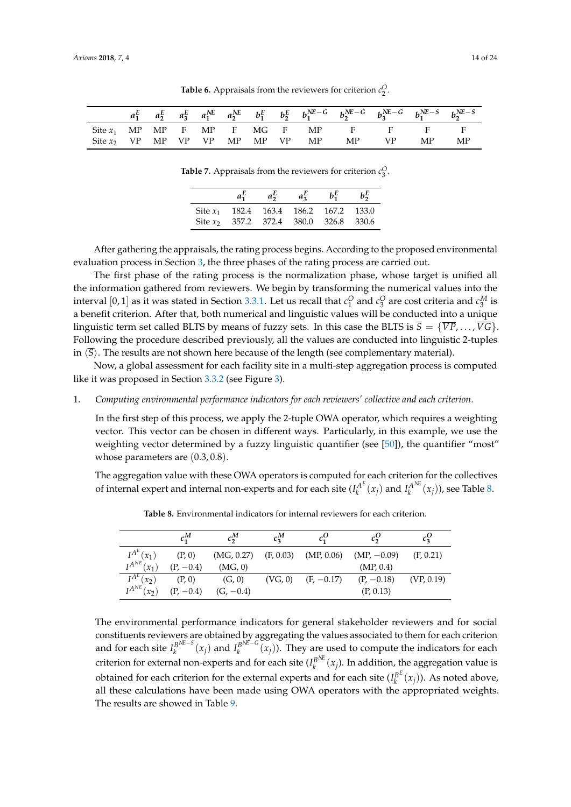<span id="page-13-0"></span>

|  |  |  |  | $a_1^E$ $a_2^E$ $a_3^E$ $a_1^{NE}$ $a_2^{NE}$ $b_1^E$ $b_2^E$ $b_1^{NE-G}$ $b_2^{NE-G}$ $b_3^{NE-G}$ $b_1^{NE-S}$ $b_2^{NE-S}$ |     |    |    |
|--|--|--|--|--------------------------------------------------------------------------------------------------------------------------------|-----|----|----|
|  |  |  |  | Site $x_1$ MP MP F MP F MG F MP F F                                                                                            |     |    |    |
|  |  |  |  | Site $x_2$ VP MP VP VP MP MP VP MP MP                                                                                          | VP. | MP | МP |

**Table 6.** Appraisals from the reviewers for criterion  $c_2^O$ .

**Table 7.** Appraisals from the reviewers for criterion  $c_3^O$ .

|                                          | $a_2^E$ | $a_3^E$ | $b_1^E$ | $b_2^E$ |
|------------------------------------------|---------|---------|---------|---------|
| Site $x_1$ 182.4 163.4 186.2 167.2 133.0 |         |         |         |         |
| Site $x_2$ 357.2 372.4 380.0 326.8 330.6 |         |         |         |         |

After gathering the appraisals, the rating process begins. According to the proposed environmental evaluation process in Section [3,](#page-3-0) the three phases of the rating process are carried out.

The first phase of the rating process is the normalization phase, whose target is unified all the information gathered from reviewers. We begin by transforming the numerical values into the interval  $[0,1]$  as it was stated in Section [3.3.1.](#page-6-0) Let us recall that  $c_1^O$  and  $c_3^O$  are cost criteria and  $c_3^M$  is a benefit criterion. After that, both numerical and linguistic values will be conducted into a unique linguistic term set called BLTS by means of fuzzy sets. In this case the BLTS is  $\overline{S} = \{ \overline{VP}, \ldots, \overline{VG} \}$ . Following the procedure described previously, all the values are conducted into linguistic 2-tuples in  $\langle \overline{S} \rangle$ . The results are not shown here because of the length (see complementary material).

Now, a global assessment for each facility site in a multi-step aggregation process is computed like it was proposed in Section [3.3.2](#page-6-1) (see Figure [3\)](#page-10-1).

#### 1. *Computing environmental performance indicators for each reviewers' collective and each criterion*.

In the first step of this process, we apply the 2-tuple OWA operator, which requires a weighting vector. This vector can be chosen in different ways. Particularly, in this example, we use the weighting vector determined by a fuzzy linguistic quantifier (see [\[50\]](#page-23-0)), the quantifier "most" whose parameters are (0.3, 0.8).

<span id="page-13-1"></span>The aggregation value with these OWA operators is computed for each criterion for the collectives of internal expert and internal non-experts and for each site  $(I_k^{A^E})$  $\chi^{A^E}(x_j)$  and  $I_k^{A^N\!E}$  $\chi_k^{A^{1\mathfrak{C}}}(x_j)$ ), see Table [8.](#page-13-1)

|                             | $c_1^M$     | $c_2^M$     | $c_2^M$ | $c_1^O$                | $c_2^{\rm O}$                                       | $c_3^U$    |
|-----------------------------|-------------|-------------|---------|------------------------|-----------------------------------------------------|------------|
| $I^{A^E}(x_1)$              | (P, 0)      |             |         |                        | $(MG, 0.27)$ $(F, 0.03)$ $(MP, 0.06)$ $(MP, -0.09)$ | (F, 0.21)  |
| $I^{A^{NE}}(x_1)$           | $(P, -0.4)$ | (MG, 0)     |         |                        | (MP, 0.4)                                           |            |
| $I^{A^E}(x_2)$              | (P, 0)      | (G, 0)      |         | $(VG, 0)$ $(F, -0.17)$ | $(P, -0.18)$                                        | (VP, 0.19) |
| $I^{A^{NE}}(x_2)$ (P, -0.4) |             | $(G, -0.4)$ |         |                        | (P, 0.13)                                           |            |

**Table 8.** Environmental indicators for internal reviewers for each criterion.

The environmental performance indicators for general stakeholder reviewers and for social constituents reviewers are obtained by aggregating the values associated to them for each criterion and for each site  $I_k^{B^{NE-S}}$  $\int_k^{B^{\text{NE}-S}}(x_j)$  and  $I_k^{B^{\text{NE}-G}}$  $\int_k^{B^{(m)}(x)} (x_j)$ ). They are used to compute the indicators for each criterion for external non-experts and for each site  $(I_k^{B^{\lambda E}})$  $\int_k^{B^{\text{NL}}} (x_j)$ . In addition, the aggregation value is obtained for each criterion for the external experts and for each site  $(I_k^{\beta E})$  $\binom{B^L}{k}(x_j)$ ). As noted above, all these calculations have been made using OWA operators with the appropriated weights. The results are showed in Table [9.](#page-14-0)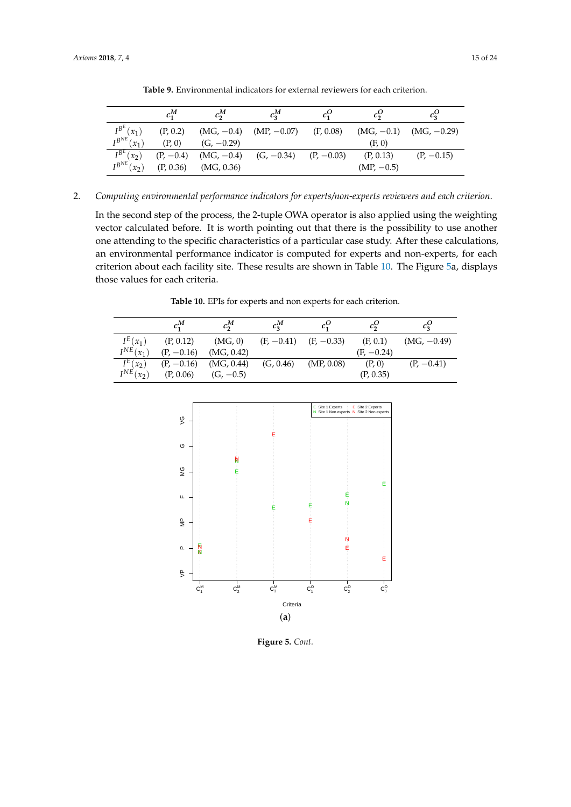<span id="page-14-0"></span>

|                   | $c_1^M$     | $c_2^M$      | $c_3^M$                                | $c_1^U$ | $c_2^{\rm U}$ | $c_2^U$                    |
|-------------------|-------------|--------------|----------------------------------------|---------|---------------|----------------------------|
| $I^{B^E}(x_1)$    | (P, 0.2)    |              | $(MG, -0.4)$ $(MP, -0.07)$ $(F, 0.08)$ |         |               | $(MG, -0.1)$ $(MG, -0.29)$ |
| $I^{B^{NE}}(x_1)$ | (P, 0)      | $(G, -0.29)$ |                                        |         | (F, 0)        |                            |
| $I^{B^E}(x_2)$    | $(P, -0.4)$ |              | $(MG, -0.4)$ $(G, -0.34)$ $(P, -0.03)$ |         | (P, 0.13)     | $(P, -0.15)$               |
| $I^{B^{NE}}(x_2)$ | (P, 0.36)   | (MG, 0.36)   |                                        |         | $(MP, -0.5)$  |                            |

**Table 9.** Environmental indicators for external reviewers for each criterion.

2. *Computing environmental performance indicators for experts/non-experts reviewers and each criterion*.

In the second step of the process, the 2-tuple OWA operator is also applied using the weighting vector calculated before. It is worth pointing out that there is the possibility to use another one attending to the specific characteristics of a particular case study. After these calculations, an environmental performance indicator is computed for experts and non-experts, for each criterion about each facility site. These results are shown in Table [10.](#page-14-1) The Figure [5a](#page-15-0), displays those values for each criteria.

**Table 10.** EPIs for experts and non experts for each criterion.

<span id="page-14-1"></span>

|                       | $c_1^M$      | $c_2^M$                  | $c_2^M$                   |            |              |               |
|-----------------------|--------------|--------------------------|---------------------------|------------|--------------|---------------|
| $I^E(x_1)$            | (P, 0.12)    | (MG, 0)                  | $(F, -0.41)$ $(F, -0.33)$ |            | (F, 0.1)     | $(MG, -0.49)$ |
| $I^{NE}(x_1)$         | $(P, -0.16)$ | (MG, 0.42)               |                           |            | $(F, -0.24)$ |               |
| $\overline{I^E(x_2)}$ | $(P, -0.16)$ | $(MG, 0.44)$ $(G, 0.46)$ |                           | (MP, 0.08) | (P, 0)       | $(P, -0.41)$  |
| $I^{NE}(x_2)$         | (P, 0.06)    | $(G, -0.5)$              |                           |            | (P, 0.35)    |               |



**Figure 5.** *Cont.*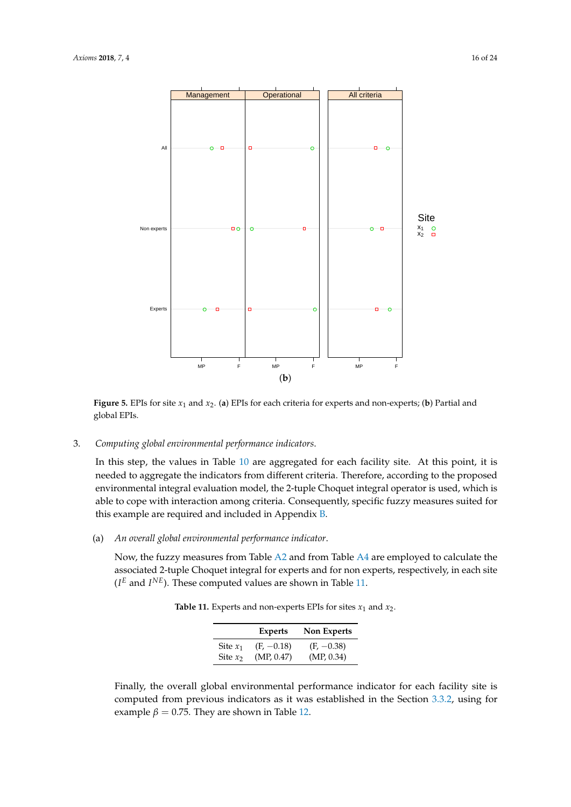<span id="page-15-0"></span>

**Figure 5.** EPIs for site *x*<sup>1</sup> and *x*2. (**a**) EPIs for each criteria for experts and non-experts; (**b**) Partial and global EPIs.

# 3. *Computing global environmental performance indicators*.

In this step, the values in Table [10](#page-14-1) are aggregated for each facility site. At this point, it is needed to aggregate the indicators from different criteria. Therefore, according to the proposed environmental integral evaluation model, the 2-tuple Choquet integral operator is used, which is able to cope with interaction among criteria. Consequently, specific fuzzy measures suited for this example are required and included in Appendix [B.](#page-19-0)

# (a) *An overall global environmental performance indicator*.

<span id="page-15-1"></span>Now, the fuzzy measures from Table [A2](#page-12-1) and from Table [A4](#page-12-2) are employed to calculate the associated 2-tuple Choquet integral for experts and for non experts, respectively, in each site  $(I^E$  and  $I^{NE}$ ). These computed values are shown in Table [11.](#page-15-1)

**Table 11.** Experts and non-experts EPIs for sites  $x_1$  and  $x_2$ .

|            | <b>Experts</b> | <b>Non Experts</b> |
|------------|----------------|--------------------|
| Site $x_1$ | $(F, -0.18)$   | $(F, -0.38)$       |
| Site $x_2$ | (MP, 0.47)     | (MP, 0.34)         |

Finally, the overall global environmental performance indicator for each facility site is computed from previous indicators as it was established in the Section [3.3.2,](#page-6-1) using for example  $\beta = 0.75$ . They are shown in Table [12.](#page-16-0)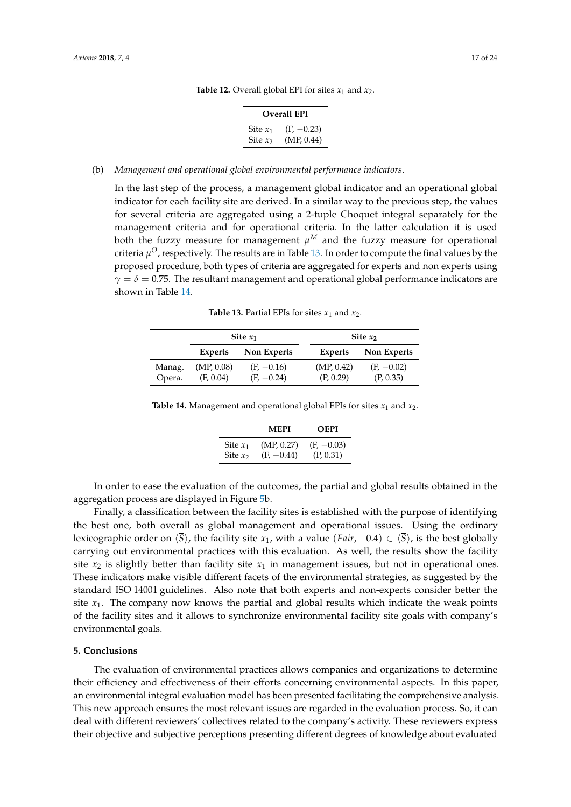| <b>Overall EPI</b> |              |  |  |  |  |  |
|--------------------|--------------|--|--|--|--|--|
| Site $x_1$         | $(F, -0.23)$ |  |  |  |  |  |
| Site $x_2$         | (MP, 0.44)   |  |  |  |  |  |

# **Table 12.** Overall global EPI for sites  $x_1$  and  $x_2$ .

#### <span id="page-16-0"></span>(b) *Management and operational global environmental performance indicators*.

In the last step of the process, a management global indicator and an operational global indicator for each facility site are derived. In a similar way to the previous step, the values for several criteria are aggregated using a 2-tuple Choquet integral separately for the management criteria and for operational criteria. In the latter calculation it is used both the fuzzy measure for management  $\mu^M$  and the fuzzy measure for operational criteria  $\mu^O$ , respectively. The results are in Table [13.](#page-16-1) In order to compute the final values by the proposed procedure, both types of criteria are aggregated for experts and non experts using  $\gamma = \delta = 0.75$ . The resultant management and operational global performance indicators are shown in Table [14.](#page-16-2)

**Table 13.** Partial EPIs for sites  $x_1$  and  $x_2$ .

<span id="page-16-1"></span>

|                  |                         | Site $x_1$                   |                         | Site $x_2$                |
|------------------|-------------------------|------------------------------|-------------------------|---------------------------|
|                  | <b>Experts</b>          | Non Experts                  | Non Experts<br>Experts  |                           |
| Manag.<br>Opera. | (MP, 0.08)<br>(F, 0.04) | $(F, -0.16)$<br>$(F, -0.24)$ | (MP, 0.42)<br>(P, 0.29) | $(F, -0.02)$<br>(P, 0.35) |

<span id="page-16-2"></span>

|  | <b>Table 14.</b> Management and operational global EPIs for sites $x_1$ and $x_2$ . |  |  |  |  |
|--|-------------------------------------------------------------------------------------|--|--|--|--|
|--|-------------------------------------------------------------------------------------|--|--|--|--|

|            | MEPI         | <b>OEPI</b>  |
|------------|--------------|--------------|
| Site $x_1$ | (MP, 0.27)   | $(F, -0.03)$ |
| Site $x_2$ | $(F, -0.44)$ | (P, 0.31)    |

In order to ease the evaluation of the outcomes, the partial and global results obtained in the aggregation process are displayed in Figure [5b](#page-15-0).

Finally, a classification between the facility sites is established with the purpose of identifying the best one, both overall as global management and operational issues. Using the ordinary lexicographic order on  $\langle \overline{S} \rangle$ , the facility site *x*<sub>1</sub>, with a value (*Fair*, −0.4)  $\in \langle \overline{S} \rangle$ , is the best globally carrying out environmental practices with this evaluation. As well, the results show the facility site  $x_2$  is slightly better than facility site  $x_1$  in management issues, but not in operational ones. These indicators make visible different facets of the environmental strategies, as suggested by the standard ISO 14001 guidelines. Also note that both experts and non-experts consider better the site  $x_1$ . The company now knows the partial and global results which indicate the weak points of the facility sites and it allows to synchronize environmental facility site goals with company's environmental goals.

# **5. Conclusions**

The evaluation of environmental practices allows companies and organizations to determine their efficiency and effectiveness of their efforts concerning environmental aspects. In this paper, an environmental integral evaluation model has been presented facilitating the comprehensive analysis. This new approach ensures the most relevant issues are regarded in the evaluation process. So, it can deal with different reviewers' collectives related to the company's activity. These reviewers express their objective and subjective perceptions presenting different degrees of knowledge about evaluated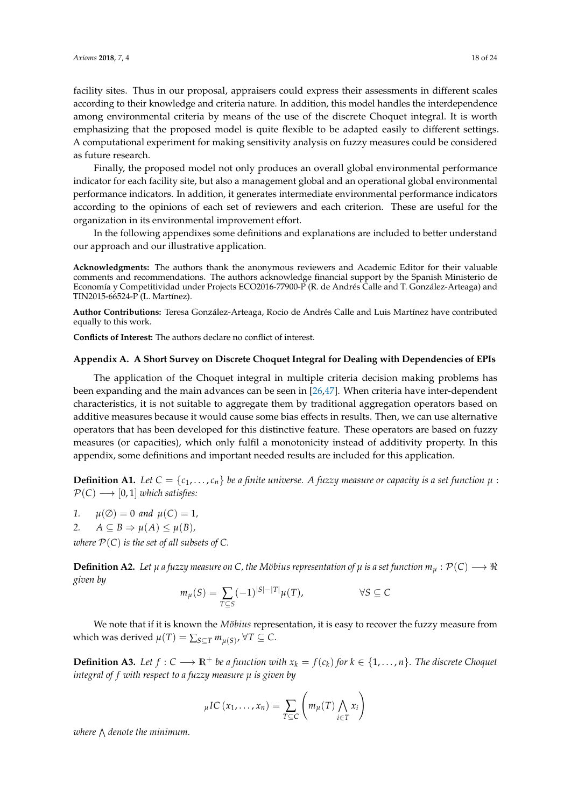facility sites. Thus in our proposal, appraisers could express their assessments in different scales according to their knowledge and criteria nature. In addition, this model handles the interdependence among environmental criteria by means of the use of the discrete Choquet integral. It is worth emphasizing that the proposed model is quite flexible to be adapted easily to different settings. A computational experiment for making sensitivity analysis on fuzzy measures could be considered as future research.

Finally, the proposed model not only produces an overall global environmental performance indicator for each facility site, but also a management global and an operational global environmental performance indicators. In addition, it generates intermediate environmental performance indicators according to the opinions of each set of reviewers and each criterion. These are useful for the organization in its environmental improvement effort.

In the following appendixes some definitions and explanations are included to better understand our approach and our illustrative application.

**Acknowledgments:** The authors thank the anonymous reviewers and Academic Editor for their valuable comments and recommendations. The authors acknowledge financial support by the Spanish Ministerio de Economía y Competitividad under Projects ECO2016-77900-P (R. de Andrés Calle and T. González-Arteaga) and TIN2015-66524-P (L. Martínez).

**Author Contributions:** Teresa González-Arteaga, Rocio de Andrés Calle and Luis Martínez have contributed equally to this work.

**Conflicts of Interest:** The authors declare no conflict of interest.

#### <span id="page-17-0"></span>**Appendix A. A Short Survey on Discrete Choquet Integral for Dealing with Dependencies of EPIs**

The application of the Choquet integral in multiple criteria decision making problems has been expanding and the main advances can be seen in [\[26,](#page-22-3)[47\]](#page-22-24). When criteria have inter-dependent characteristics, it is not suitable to aggregate them by traditional aggregation operators based on additive measures because it would cause some bias effects in results. Then, we can use alternative operators that has been developed for this distinctive feature. These operators are based on fuzzy measures (or capacities), which only fulfil a monotonicity instead of additivity property. In this appendix, some definitions and important needed results are included for this application.

**Definition A1.** Let  $C = \{c_1, \ldots, c_n\}$  be a finite universe. A fuzzy measure or capacity is a set function  $\mu$ :  $\mathcal{P}(C) \longrightarrow [0,1]$  *which satisfies:* 

- *1.*  $\mu(\emptyset) = 0$  and  $\mu(C) = 1$ ,
- 2. *A*  $\subseteq$  *B*  $\Rightarrow$   $\mu(A) \leq \mu(B)$ ,

*where*  $P(C)$  *is the set of all subsets of C.* 

**Definition A2.** Let  $\mu$  a fuzzy measure on C, the Möbius representation of  $\mu$  is a set function  $m_{\mu} : \mathcal{P}(C) \longrightarrow \Re$ *given by*

$$
m_{\mu}(S) = \sum_{T \subseteq S} (-1)^{|S| - |T|} \mu(T), \qquad \forall S \subseteq C
$$

We note that if it is known the *Möbius* representation, it is easy to recover the fuzzy measure from which was derived  $\mu(T) = \sum_{S \subseteq T} m_{\mu(S)}$ ,  $\forall T \subseteq C$ .

**Definition A3.** Let  $f: C \longrightarrow \mathbb{R}^+$  be a function with  $x_k = f(c_k)$  for  $k \in \{1, ..., n\}$ . The discrete Choquet *integral of f with respect to a fuzzy measure µ is given by*

$$
{}_{\mu}IC(x_1,\ldots,x_n)=\sum_{T\subseteq C}\left(m_{\mu}(T)\bigwedge_{i\in T}x_i\right)
$$

where  $\bigwedge$  denote the minimum.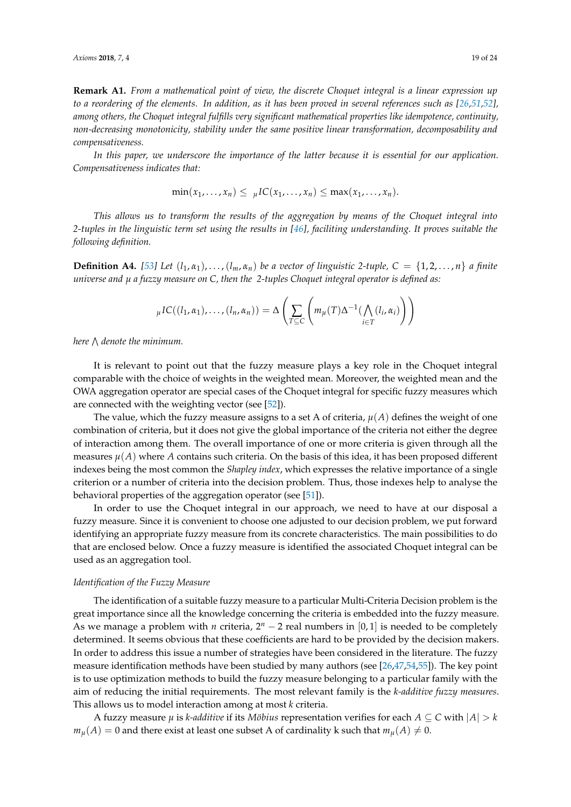**Remark A1.** *From a mathematical point of view, the discrete Choquet integral is a linear expression up to a reordering of the elements. In addition, as it has been proved in several references such as [\[26,](#page-22-3)[51,](#page-23-1)[52\]](#page-23-2)*, *among others, the Choquet integral fulfills very significant mathematical properties like idempotence, continuity, non-decreasing monotonicity, stability under the same positive linear transformation, decomposability and compensativeness.*

*In this paper, we underscore the importance of the latter because it is essential for our application. Compensativeness indicates that:*

$$
\min(x_1,\ldots,x_n)\leq \mu IC(x_1,\ldots,x_n)\leq \max(x_1,\ldots,x_n).
$$

*This allows us to transform the results of the aggregation by means of the Choquet integral into 2-tuples in the linguistic term set using the results in [\[46\]](#page-22-23), faciliting understanding. It proves suitable the following definition.*

**Definition A4.** [\[53\]](#page-23-3) Let  $(l_1, \alpha_1), \ldots, (l_m, \alpha_n)$  be a vector of linguistic 2-tuple,  $C = \{1, 2, \ldots, n\}$  a finite *universe and µ a fuzzy measure on C, then the 2-tuples Choquet integral operator is defined as:*

$$
{}_{\mu}IC((l_1,\alpha_1),\ldots,(l_n,\alpha_n))=\Delta\left(\sum_{T\subseteq C}\left(m_{\mu}(T)\Delta^{-1}(\bigwedge_{i\in T}(l_i,\alpha_i)\right)\right)
$$

*here* V *denote the minimum.*

It is relevant to point out that the fuzzy measure plays a key role in the Choquet integral comparable with the choice of weights in the weighted mean. Moreover, the weighted mean and the OWA aggregation operator are special cases of the Choquet integral for specific fuzzy measures which are connected with the weighting vector (see [\[52\]](#page-23-2)).

The value, which the fuzzy measure assigns to a set A of criteria,  $\mu(A)$  defines the weight of one combination of criteria, but it does not give the global importance of the criteria not either the degree of interaction among them. The overall importance of one or more criteria is given through all the measures  $\mu(A)$  where *A* contains such criteria. On the basis of this idea, it has been proposed different indexes being the most common the *Shapley index*, which expresses the relative importance of a single criterion or a number of criteria into the decision problem. Thus, those indexes help to analyse the behavioral properties of the aggregation operator (see [\[51\]](#page-23-1)).

In order to use the Choquet integral in our approach, we need to have at our disposal a fuzzy measure. Since it is convenient to choose one adjusted to our decision problem, we put forward identifying an appropriate fuzzy measure from its concrete characteristics. The main possibilities to do that are enclosed below. Once a fuzzy measure is identified the associated Choquet integral can be used as an aggregation tool.

#### *Identification of the Fuzzy Measure*

The identification of a suitable fuzzy measure to a particular Multi-Criteria Decision problem is the great importance since all the knowledge concerning the criteria is embedded into the fuzzy measure. As we manage a problem with *n* criteria,  $2^n - 2$  real numbers in [0, 1] is needed to be completely determined. It seems obvious that these coefficients are hard to be provided by the decision makers. In order to address this issue a number of strategies have been considered in the literature. The fuzzy measure identification methods have been studied by many authors (see [\[26](#page-22-3)[,47,](#page-22-24)[54,](#page-23-4)[55\]](#page-23-5)). The key point is to use optimization methods to build the fuzzy measure belonging to a particular family with the aim of reducing the initial requirements. The most relevant family is the *k-additive fuzzy measures*. This allows us to model interaction among at most *k* criteria.

A fuzzy measure  $\mu$  is *k-additive* if its *Möbius* representation verifies for each  $A \subseteq C$  with  $|A| > k$  $m_{\mu}(A) = 0$  and there exist at least one subset A of cardinality k such that  $m_{\mu}(A) \neq 0$ .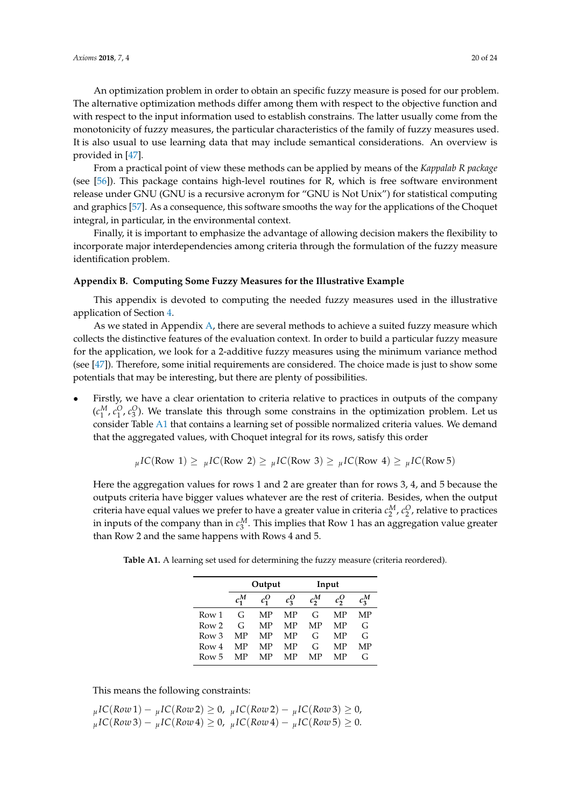An optimization problem in order to obtain an specific fuzzy measure is posed for our problem. The alternative optimization methods differ among them with respect to the objective function and with respect to the input information used to establish constrains. The latter usually come from the monotonicity of fuzzy measures, the particular characteristics of the family of fuzzy measures used. It is also usual to use learning data that may include semantical considerations. An overview is provided in [\[47\]](#page-22-24).

From a practical point of view these methods can be applied by means of the *Kappalab R package* (see [\[56\]](#page-23-6)). This package contains high-level routines for R, which is free software environment release under GNU (GNU is a recursive acronym for "GNU is Not Unix") for statistical computing and graphics [\[57\]](#page-23-7). As a consequence, this software smooths the way for the applications of the Choquet integral, in particular, in the environmental context.

Finally, it is important to emphasize the advantage of allowing decision makers the flexibility to incorporate major interdependencies among criteria through the formulation of the fuzzy measure identification problem.

#### <span id="page-19-0"></span>**Appendix B. Computing Some Fuzzy Measures for the Illustrative Example**

This appendix is devoted to computing the needed fuzzy measures used in the illustrative application of Section [4.](#page-10-0)

As we stated in Appendix [A,](#page-17-0) there are several methods to achieve a suited fuzzy measure which collects the distinctive features of the evaluation context. In order to build a particular fuzzy measure for the application, we look for a 2-additive fuzzy measures using the minimum variance method (see [\[47\]](#page-22-24)). Therefore, some initial requirements are considered. The choice made is just to show some potentials that may be interesting, but there are plenty of possibilities.

• Firstly, we have a clear orientation to criteria relative to practices in outputs of the company  $(c_1^M, c_1^O, c_3^O)$ . We translate this through some constrains in the optimization problem. Let us consider Table [A1](#page-11-0) that contains a learning set of possible normalized criteria values. We demand that the aggregated values, with Choquet integral for its rows, satisfy this order

$$
{}_{\mu}IC(\text{Row 1}) \geq {}_{\mu}IC(\text{Row 2}) \geq {}_{\mu}IC(\text{Row 3}) \geq {}_{\mu}IC(\text{Row 4}) \geq {}_{\mu}IC(\text{Row 5})
$$

Here the aggregation values for rows 1 and 2 are greater than for rows 3, 4, and 5 because the outputs criteria have bigger values whatever are the rest of criteria. Besides, when the output criteria have equal values we prefer to have a greater value in criteria  $c_2^M$ ,  $c_2^O$ , relative to practices in inputs of the company than in  $c_3^M$ . This implies that Row 1 has an aggregation value greater than Row 2 and the same happens with Rows 4 and 5.

|                  |         | Output  |         | Input   |         |         |
|------------------|---------|---------|---------|---------|---------|---------|
|                  | $c_1^M$ | $c_1^O$ | $c_3^O$ | $c_2^M$ | $c_2^O$ | $c_3^M$ |
| Row 1            | G       | MP      | MP      | G       | MP      | MP      |
| Row <sub>2</sub> | G       | MP      | MP      | MP      | MP      | G       |
| Row 3            | MP      | MP      | MP      | G       | MP      | G       |
| Row 4            | MP      | MP      | MP      | G       | MP      | MP      |
| Row 5            | MР      | MP      | MP      | MP      | MP      | G       |

**Table A1.** A learning set used for determining the fuzzy measure (criteria reordered).

This means the following constraints:

$$
\mu IC(Row1) - \mu IC(Row2) \ge 0, \quad \mu IC(Row2) - \mu IC(Row3) \ge 0, \n \mu IC(Row3) - \mu IC(Row4) \ge 0, \quad \mu IC(Row4) - \mu IC(Row5) \ge 0.
$$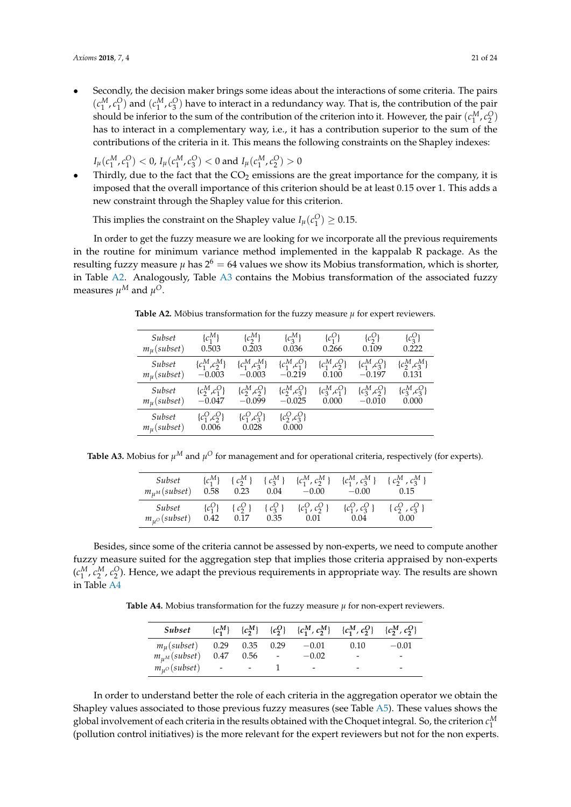• Secondly, the decision maker brings some ideas about the interactions of some criteria. The pairs  $(c_1^M, c_1^O)$  and  $(c_1^M, c_3^O)$  have to interact in a redundancy way. That is, the contribution of the pair should be inferior to the sum of the contribution of the criterion into it. However, the pair  $(c_1^M, c_2^O)$ has to interact in a complementary way, i.e., it has a contribution superior to the sum of the contributions of the criteria in it. This means the following constraints on the Shapley indexes:

 $I_\mu(c_1^M, c_1^O) < 0$ ,  $I_\mu(c_1^M, c_3^O) < 0$  and  $I_\mu(c_1^M, c_2^O) > 0$ 

• Thirdly, due to the fact that the  $CO<sub>2</sub>$  emissions are the great importance for the company, it is imposed that the overall importance of this criterion should be at least 0.15 over 1. This adds a new constraint through the Shapley value for this criterion.

This implies the constraint on the Shapley value  $I_\mu(c_1^O) \geq 0.15$ .

In order to get the fuzzy measure we are looking for we incorporate all the previous requirements in the routine for minimum variance method implemented in the kappalab R package. As the resulting fuzzy measure  $\mu$  has  $2^6 = 64$  values we show its Mobius transformation, which is shorter, in Table [A2.](#page-12-1) Analogously, Table [A3](#page-12-3) contains the Mobius transformation of the associated fuzzy measures  $\mu^M$  and  $\mu^O$ .

| Subset                       | $\{c_1^M\}$                 | $\{c_2^M\}$                 | $\{c_3^M\}$                 | ${c_1^O}$          | $\{c_2^O\}$        | ${c_3^O}$          |
|------------------------------|-----------------------------|-----------------------------|-----------------------------|--------------------|--------------------|--------------------|
| $m_{\mu}$ (subset)           | 0.503                       | 0.203                       | 0.036                       | 0.266              | 0.109              | 0.222              |
| Subset                       | $\{c_1^M, c_2^M\}$          | $\{c_1^M, c_3^M\}$          | $\{c_1^M, c_1^O\}$          | $\{c_1^M, c_2^O\}$ | $\{c_1^M, c_3^O\}$ | $\{c_2^M, c_3^M\}$ |
| $m_{\mu}$ (subset)           | $-0.003$                    | $-0.003$                    | $-0.219$                    | 0.100              | $-0.197$           | 0.131              |
| Subset                       | $\{c_2^M, c_1^O\}$          | $\{c_2^M, c_2^O\}$          | ${c_2^M, c_3^O}$            | $\{c_3^M, c_1^O\}$ | $\{c_3^M, c_2^O\}$ | $\{c_3^M, c_3^O\}$ |
| $m_{\mu}$ (subset)           | $-0.047$                    | $-0.099$                    | $-0.025$                    | 0.000              | $-0.010$           | 0.000              |
| Subset<br>$m_{\mu}$ (subset) | $\{c_1^O, c_2^O\}$<br>0.006 | $\{c_1^O, c_3^O\}$<br>0.028 | $\{c_2^O, c_3^O\}$<br>0.000 |                    |                    |                    |

**Table A2.** Möbius transformation for the fuzzy measure *µ* for expert reviewers.

**Table A3.** Mobius for  $\mu^M$  and  $\mu^O$  for management and for operational criteria, respectively (for experts).

| Subset               | $\{c_1^M\}$ | $\{c_2^M\}$ | $\{c_3^M\}$ | $\{c_1^M, c_2^M\}$ | $\{c_1^M, c_3^M\}$ | $\{c_2^M, c_3^M\}$ |
|----------------------|-------------|-------------|-------------|--------------------|--------------------|--------------------|
| $m_{\mu M}$ (subset) | 0.58        | 0.23        | 0.04        | $-0.00$            | $-0.00$            | 0.15               |
| Subset               | $\{c_1^O\}$ | $\{c_2^O\}$ | $\{c_3^O\}$ | $\{c_1^O, c_2^O\}$ | $\{c_1^O, c_3^O\}$ | ${c_2^O, c_3^O}$   |
| $m_{u^O}(subset)$    | 0.42        | 0.17        | 0.35        | 0.01               | 0.04               | 0.00               |

Besides, since some of the criteria cannot be assessed by non-experts, we need to compute another fuzzy measure suited for the aggregation step that implies those criteria appraised by non-experts  $(c_1^M, c_2^M, c_2^O)$ . Hence, we adapt the previous requirements in appropriate way. The results are shown in Table [A4](#page-12-2)

**Table A4.** Mobius transformation for the fuzzy measure *µ* for non-expert reviewers.

| Subset             | $\{c_1^M\}$ | $\{c_2^M\}$ |                | ${c_2^O}$ ${c_1^M, c_2^M}$ ${c_1^M, c_2^O}$ ${c_2^M, c_2^O}$ |                          |         |
|--------------------|-------------|-------------|----------------|--------------------------------------------------------------|--------------------------|---------|
| $m_{\mu}$ (subset) | $0.29$ .    | $0.35$ 0.29 |                | $-0.01$                                                      | 0.10                     | $-0.01$ |
| $m_{u^M}(subset)$  | 0.47        | 0.56        | $\blacksquare$ | $-0.02$                                                      | $\overline{\phantom{a}}$ | -       |
| $m_{u^O}(subset)$  | $\sim$ $-$  | $\sim$      |                | $\overline{\phantom{a}}$                                     | $\overline{\phantom{a}}$ |         |

In order to understand better the role of each criteria in the aggregation operator we obtain the Shapley values associated to those previous fuzzy measures (see Table  $\overline{A5}$ ). These values shows the global involvement of each criteria in the results obtained with the Choquet integral. So, the criterion  $c_1^M$ (pollution control initiatives) is the more relevant for the expert reviewers but not for the non experts.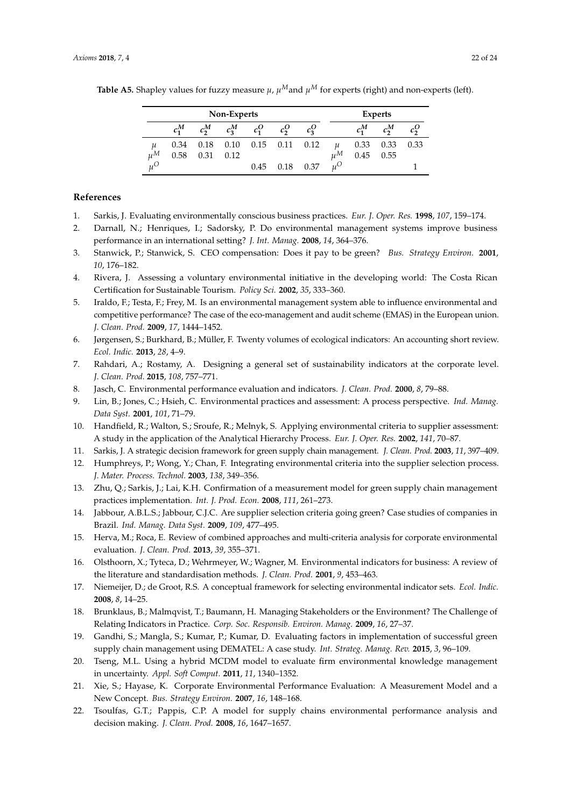| Non-Experts |         |         |                                           |         |                      |         |                   | <b>Experts</b> |         |               |
|-------------|---------|---------|-------------------------------------------|---------|----------------------|---------|-------------------|----------------|---------|---------------|
|             | $c_1^M$ | $c_2^M$ | $c_2^M$                                   | $c_1^O$ | $c_2^{\prime\prime}$ | $c_3^O$ |                   |                | $c_2^M$ | $c_2^{\rm U}$ |
| μ           |         |         | $0.34$ $0.18$ $0.10$ $0.15$ $0.11$ $0.12$ |         |                      |         |                   | 0.33           | 0.33    | 0.33          |
| $\mu^M$     | 0.58    | 0.31    | 0.12                                      |         |                      |         | $\mu^M$           | 0.45           | 0.55    |               |
| $u^{\circ}$ |         |         |                                           |         | $0.45$ $0.18$ $0.37$ |         | $u^{\mathcal{O}}$ |                |         |               |

**Table A5.** Shapley values for fuzzy measure  $\mu$ ,  $\mu^M$  and  $\mu^M$  for experts (right) and non-experts (left).

# **References**

- <span id="page-21-0"></span>1. Sarkis, J. Evaluating environmentally conscious business practices. *Eur. J. Oper. Res.* **1998**, *107*, 159–174.
- <span id="page-21-1"></span>2. Darnall, N.; Henriques, I.; Sadorsky, P. Do environmental management systems improve business performance in an international setting? *J. Int. Manag.* **2008**, *14*, 364–376.
- <span id="page-21-2"></span>3. Stanwick, P.; Stanwick, S. CEO compensation: Does it pay to be green? *Bus. Strategy Environ.* **2001**, *10*, 176–182.
- 4. Rivera, J. Assessing a voluntary environmental initiative in the developing world: The Costa Rican Certification for Sustainable Tourism. *Policy Sci.* **2002**, *35*, 333–360.
- <span id="page-21-3"></span>5. Iraldo, F.; Testa, F.; Frey, M. Is an environmental management system able to influence environmental and competitive performance? The case of the eco-management and audit scheme (EMAS) in the European union. *J. Clean. Prod.* **2009**, *17*, 1444–1452.
- <span id="page-21-4"></span>6. Jørgensen, S.; Burkhard, B.; Müller, F. Twenty volumes of ecological indicators: An accounting short review. *Ecol. Indic.* **2013**, *28*, 4–9.
- <span id="page-21-5"></span>7. Rahdari, A.; Rostamy, A. Designing a general set of sustainability indicators at the corporate level. *J. Clean. Prod.* **2015**, *108*, 757–771.
- 8. Jasch, C. Environmental performance evaluation and indicators. *J. Clean. Prod.* **2000**, *8*, 79–88.
- <span id="page-21-12"></span>9. Lin, B.; Jones, C.; Hsieh, C. Environmental practices and assessment: A process perspective. *Ind. Manag. Data Syst.* **2001**, *101*, 71–79.
- <span id="page-21-16"></span>10. Handfield, R.; Walton, S.; Sroufe, R.; Melnyk, S. Applying environmental criteria to supplier assessment: A study in the application of the Analytical Hierarchy Process. *Eur. J. Oper. Res.* **2002**, *141*, 70–87.
- <span id="page-21-17"></span>11. Sarkis, J. A strategic decision framework for green supply chain management. *J. Clean. Prod.* **2003**, *11*, 397–409.
- <span id="page-21-10"></span>12. Humphreys, P.; Wong, Y.; Chan, F. Integrating environmental criteria into the supplier selection process. *J. Mater. Process. Technol.* **2003**, *138*, 349–356.
- <span id="page-21-19"></span>13. Zhu, Q.; Sarkis, J.; Lai, K.H. Confirmation of a measurement model for green supply chain management practices implementation. *Int. J. Prod. Econ.* **2008**, *111*, 261–273.
- <span id="page-21-15"></span>14. Jabbour, A.B.L.S.; Jabbour, C.J.C. Are supplier selection criteria going green? Case studies of companies in Brazil. *Ind. Manag. Data Syst.* **2009**, *109*, 477–495.
- <span id="page-21-6"></span>15. Herva, M.; Roca, E. Review of combined approaches and multi-criteria analysis for corporate environmental evaluation. *J. Clean. Prod.* **2013**, *39*, 355–371.
- <span id="page-21-7"></span>16. Olsthoorn, X.; Tyteca, D.; Wehrmeyer, W.; Wagner, M. Environmental indicators for business: A review of the literature and standardisation methods. *J. Clean. Prod.* **2001**, *9*, 453–463.
- <span id="page-21-14"></span>17. Niemeijer, D.; de Groot, R.S. A conceptual framework for selecting environmental indicator sets. *Ecol. Indic.* **2008**, *8*, 14–25.
- <span id="page-21-13"></span>18. Brunklaus, B.; Malmqvist, T.; Baumann, H. Managing Stakeholders or the Environment? The Challenge of Relating Indicators in Practice. *Corp. Soc. Responsib. Environ. Manag.* **2009**, *16*, 27–37.
- <span id="page-21-8"></span>19. Gandhi, S.; Mangla, S.; Kumar, P.; Kumar, D. Evaluating factors in implementation of successful green supply chain management using DEMATEL: A case study. *Int. Strateg. Manag. Rev.* **2015**, *3*, 96–109.
- <span id="page-21-9"></span>20. Tseng, M.L. Using a hybrid MCDM model to evaluate firm environmental knowledge management in uncertainty. *Appl. Soft Comput.* **2011**, *11*, 1340–1352.
- <span id="page-21-11"></span>21. Xie, S.; Hayase, K. Corporate Environmental Performance Evaluation: A Measurement Model and a New Concept. *Bus. Strategy Environ.* **2007**, *16*, 148–168.
- <span id="page-21-18"></span>22. Tsoulfas, G.T.; Pappis, C.P. A model for supply chains environmental performance analysis and decision making. *J. Clean. Prod.* **2008**, *16*, 1647–1657.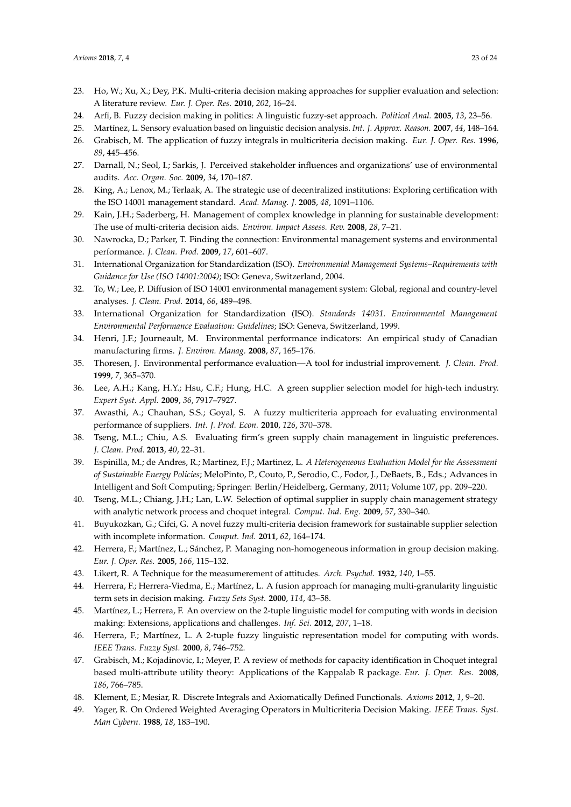- <span id="page-22-0"></span>23. Ho, W.; Xu, X.; Dey, P.K. Multi-criteria decision making approaches for supplier evaluation and selection: A literature review. *Eur. J. Oper. Res.* **2010**, *202*, 16–24.
- <span id="page-22-1"></span>24. Arfi, B. Fuzzy decision making in politics: A linguistic fuzzy-set approach. *Political Anal.* **2005**, *13*, 23–56.
- <span id="page-22-2"></span>25. Martínez, L. Sensory evaluation based on linguistic decision analysis. *Int. J. Approx. Reason.* **2007**, *44*, 148–164.
- <span id="page-22-3"></span>26. Grabisch, M. The application of fuzzy integrals in multicriteria decision making. *Eur. J. Oper. Res.* **1996**, *89*, 445–456.
- <span id="page-22-4"></span>27. Darnall, N.; Seol, I.; Sarkis, J. Perceived stakeholder influences and organizations' use of environmental audits. *Acc. Organ. Soc.* **2009**, *34*, 170–187.
- <span id="page-22-5"></span>28. King, A.; Lenox, M.; Terlaak, A. The strategic use of decentralized institutions: Exploring certification with the ISO 14001 management standard. *Acad. Manag. J.* **2005**, *48*, 1091–1106.
- <span id="page-22-6"></span>29. Kain, J.H.; Saderberg, H. Management of complex knowledge in planning for sustainable development: The use of multi-criteria decision aids. *Environ. Impact Assess. Rev.* **2008**, *28*, 7–21.
- <span id="page-22-7"></span>30. Nawrocka, D.; Parker, T. Finding the connection: Environmental management systems and environmental performance. *J. Clean. Prod.* **2009**, *17*, 601–607.
- <span id="page-22-8"></span>31. International Organization for Standardization (ISO). *Environmental Management Systems–Requirements with Guidance for Use (ISO 14001:2004)*; ISO: Geneva, Switzerland, 2004.
- <span id="page-22-9"></span>32. To, W.; Lee, P. Diffusion of ISO 14001 environmental management system: Global, regional and country-level analyses. *J. Clean. Prod.* **2014**, *66*, 489–498.
- <span id="page-22-10"></span>33. International Organization for Standardization (ISO). *Standards 14031. Environmental Management Environmental Performance Evaluation: Guidelines*; ISO: Geneva, Switzerland, 1999.
- <span id="page-22-11"></span>34. Henri, J.F.; Journeault, M. Environmental performance indicators: An empirical study of Canadian manufacturing firms. *J. Environ. Manag.* **2008**, *87*, 165–176.
- <span id="page-22-12"></span>35. Thoresen, J. Environmental performance evaluation—A tool for industrial improvement. *J. Clean. Prod.* **1999**, *7*, 365–370.
- <span id="page-22-13"></span>36. Lee, A.H.; Kang, H.Y.; Hsu, C.F.; Hung, H.C. A green supplier selection model for high-tech industry. *Expert Syst. Appl.* **2009**, *36*, 7917–7927.
- <span id="page-22-14"></span>37. Awasthi, A.; Chauhan, S.S.; Goyal, S. A fuzzy multicriteria approach for evaluating environmental performance of suppliers. *Int. J. Prod. Econ.* **2010**, *126*, 370–378.
- <span id="page-22-15"></span>38. Tseng, M.L.; Chiu, A.S. Evaluating firm's green supply chain management in linguistic preferences. *J. Clean. Prod.* **2013**, *40*, 22–31.
- <span id="page-22-16"></span>39. Espinilla, M.; de Andres, R.; Martinez, F.J.; Martinez, L. *A Heterogeneous Evaluation Model for the Assessment of Sustainable Energy Policies*; MeloPinto, P., Couto, P., Serodio, C., Fodor, J., DeBaets, B., Eds.; Advances in Intelligent and Soft Computing; Springer: Berlin/Heidelberg, Germany, 2011; Volume 107, pp. 209–220.
- <span id="page-22-17"></span>40. Tseng, M.L.; Chiang, J.H.; Lan, L.W. Selection of optimal supplier in supply chain management strategy with analytic network process and choquet integral. *Comput. Ind. Eng.* **2009**, *57*, 330–340.
- <span id="page-22-18"></span>41. Buyukozkan, G.; Cifci, G. A novel fuzzy multi-criteria decision framework for sustainable supplier selection with incomplete information. *Comput. Ind.* **2011**, *62*, 164–174.
- <span id="page-22-19"></span>42. Herrera, F.; Martínez, L.; Sánchez, P. Managing non-homogeneous information in group decision making. *Eur. J. Oper. Res.* **2005**, *166*, 115–132.
- <span id="page-22-20"></span>43. Likert, R. A Technique for the measumerement of attitudes. *Arch. Psychol.* **1932**, *140*, 1–55.
- <span id="page-22-21"></span>44. Herrera, F.; Herrera-Viedma, E.; Martínez, L. A fusion approach for managing multi-granularity linguistic term sets in decision making. *Fuzzy Sets Syst.* **2000**, *114*, 43–58.
- <span id="page-22-22"></span>45. Martínez, L.; Herrera, F. An overview on the 2-tuple linguistic model for computing with words in decision making: Extensions, applications and challenges. *Inf. Sci.* **2012**, *207*, 1–18.
- <span id="page-22-23"></span>46. Herrera, F.; Martínez, L. A 2-tuple fuzzy linguistic representation model for computing with words. *IEEE Trans. Fuzzy Syst.* **2000**, *8*, 746–752.
- <span id="page-22-24"></span>47. Grabisch, M.; Kojadinovic, I.; Meyer, P. A review of methods for capacity identification in Choquet integral based multi-attribute utility theory: Applications of the Kappalab R package. *Eur. J. Oper. Res.* **2008**, *186*, 766–785.
- <span id="page-22-25"></span>48. Klement, E.; Mesiar, R. Discrete Integrals and Axiomatically Defined Functionals. *Axioms* **2012**, *1*, 9–20.
- <span id="page-22-26"></span>49. Yager, R. On Ordered Weighted Averaging Operators in Multicriteria Decision Making. *IEEE Trans. Syst. Man Cybern.* **1988**, *18*, 183–190.